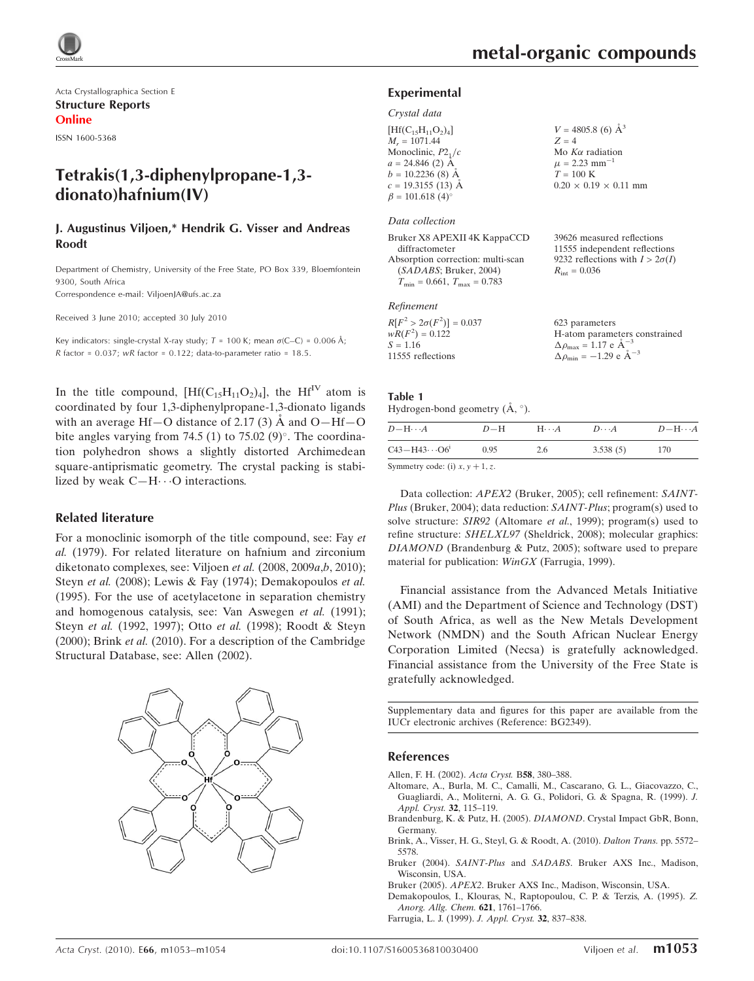

Acta Crystallographica Section E Structure Reports Online ISSN 1600-5368

# Tetrakis(1,3-diphenylpropane-1,3 dionato)hafnium(IV)

### J. Augustinus Viljoen,\* Hendrik G. Visser and Andreas Roodt

Department of Chemistry, University of the Free State, PO Box 339, Bloemfontein 9300, South Africa

Correspondence e-mail: ViljoenJA@ufs.ac.za

Received 3 June 2010; accepted 30 July 2010

Key indicators: single-crystal X-ray study;  $T = 100$  K; mean  $\sigma$ (C–C) = 0.006 Å;  $R$  factor = 0.037; wR factor = 0.122; data-to-parameter ratio = 18.5.

In the title compound,  $[Hf(C_{15}H_{11}O_2)_4]$ , the  $Hf^{IV}$  atom is coordinated by four 1,3-diphenylpropane-1,3-dionato ligands with an average Hf-O distance of 2.17 (3)  $\AA$  and O-Hf-O bite angles varying from 74.5 (1) to 75.02  $(9)^\circ$ . The coordination polyhedron shows a slightly distorted Archimedean square-antiprismatic geometry. The crystal packing is stabilized by weak  $C-H \cdots$ O interactions.

#### Related literature

For a monoclinic isomorph of the title compound, see: Fay et al. (1979). For related literature on hafnium and zirconium diketonato complexes, see: Viljoen et al. (2008, 2009a,b, 2010); Steyn et al. (2008); Lewis & Fay (1974); Demakopoulos et al. (1995). For the use of acetylacetone in separation chemistry and homogenous catalysis, see: Van Aswegen et al. (1991); Steyn et al. (1992, 1997); Otto et al. (1998); Roodt & Steyn (2000); Brink et al. (2010). For a description of the Cambridge Structural Database, see: Allen (2002).



39626 measured reflections 11555 independent reflections 9232 reflections with  $I > 2\sigma(I)$ 

 $R_{\text{int}} = 0.036$ 

#### Experimental

#### Crystal data

| $[Hf(C_{15}H_{11}O_2)_4]$ | $V = 4805.8$ (6) $\AA^3$          |
|---------------------------|-----------------------------------|
| $M_r = 1071.44$           | $Z = 4$                           |
| Monoclinic, $P2_1/c$      | Mo $K\alpha$ radiation            |
| $a = 24.846$ (2) $\AA$    | $\mu = 2.23$ mm <sup>-1</sup>     |
| $b = 10.2236$ (8) Å       | $T = 100 \text{ K}$               |
| $c = 19.3155(13)$ Å       | $0.20 \times 0.19 \times 0.11$ mm |
| $\beta = 101.618(4)$ °    |                                   |
|                           |                                   |

#### Data collection

| Bruker X8 APEXII 4K KappaCCD                     |
|--------------------------------------------------|
| diffractometer                                   |
| Absorption correction: multi-scan                |
| (SADABS; Bruker, 2004)                           |
| $T_{\text{min}} = 0.661, T_{\text{max}} = 0.783$ |
|                                                  |

### Refinement

| $R[F^2 > 2\sigma(F^2)] = 0.037$ | 623 parameters                                     |
|---------------------------------|----------------------------------------------------|
| $wR(F^2) = 0.122$               | H-atom parameters constrained                      |
| $S = 1.16$                      | $\Delta \rho_{\text{max}} = 1.17 \text{ e A}^{-3}$ |
| 11555 reflections               | $\Delta \rho_{\rm min} = -1.29 \text{ e A}^{-3}$   |

#### Table 1 Hydrogen-bond geometry  $(\AA, \degree)$ .

| $D - H \cdots A$        | $D-H$ | $H\cdots A$ | $D \cdots A$ | $D - H \cdots A$ |
|-------------------------|-------|-------------|--------------|------------------|
| $C43 - H43 \cdots O6^i$ | 0.95  | 2.6         | 3.538(5)     | 170              |

Symmetry code: (i)  $x, y + 1, z$ .

Data collection: APEX2 (Bruker, 2005); cell refinement: SAINT-Plus (Bruker, 2004); data reduction: SAINT-Plus; program(s) used to solve structure: SIR92 (Altomare et al., 1999); program(s) used to refine structure: SHELXL97 (Sheldrick, 2008); molecular graphics: DIAMOND (Brandenburg & Putz, 2005); software used to prepare material for publication: WinGX (Farrugia, 1999).

Financial assistance from the Advanced Metals Initiative (AMI) and the Department of Science and Technology (DST) of South Africa, as well as the New Metals Development Network (NMDN) and the South African Nuclear Energy Corporation Limited (Necsa) is gratefully acknowledged. Financial assistance from the University of the Free State is gratefully acknowledged.

Supplementary data and figures for this paper are available from the IUCr electronic archives (Reference: BG2349).

#### References

- [Allen, F. H. \(2002\).](https://scripts.iucr.org/cgi-bin/cr.cgi?rm=pdfbb&cnor=bg2349&bbid=BB1) Acta Cryst. B58, 380–388.
- [Altomare, A., Burla, M. C., Camalli, M., Cascarano, G. L., Giacovazzo, C.,](https://scripts.iucr.org/cgi-bin/cr.cgi?rm=pdfbb&cnor=bg2349&bbid=BB2) [Guagliardi, A., Moliterni, A. G. G., Polidori, G. & Spagna, R. \(1999\).](https://scripts.iucr.org/cgi-bin/cr.cgi?rm=pdfbb&cnor=bg2349&bbid=BB2) J. [Appl. Cryst.](https://scripts.iucr.org/cgi-bin/cr.cgi?rm=pdfbb&cnor=bg2349&bbid=BB2) 32, 115–119.
- [Brandenburg, K. & Putz, H. \(2005\).](https://scripts.iucr.org/cgi-bin/cr.cgi?rm=pdfbb&cnor=bg2349&bbid=BB3) DIAMOND. Crystal Impact GbR, Bonn, [Germany.](https://scripts.iucr.org/cgi-bin/cr.cgi?rm=pdfbb&cnor=bg2349&bbid=BB3)
- [Brink, A., Visser, H. G., Steyl, G. & Roodt, A. \(2010\).](https://scripts.iucr.org/cgi-bin/cr.cgi?rm=pdfbb&cnor=bg2349&bbid=BB4) Dalton Trans. pp. 5572– [5578.](https://scripts.iucr.org/cgi-bin/cr.cgi?rm=pdfbb&cnor=bg2349&bbid=BB4)
- Bruker (2004). SAINT-Plus and SADABS[. Bruker AXS Inc., Madison,](https://scripts.iucr.org/cgi-bin/cr.cgi?rm=pdfbb&cnor=bg2349&bbid=BB5) [Wisconsin, USA.](https://scripts.iucr.org/cgi-bin/cr.cgi?rm=pdfbb&cnor=bg2349&bbid=BB5)
- Bruker (2005). APEX2[. Bruker AXS Inc., Madison, Wisconsin, USA.](https://scripts.iucr.org/cgi-bin/cr.cgi?rm=pdfbb&cnor=bg2349&bbid=BB6)
- [Demakopoulos, I., Klouras, N., Raptopoulou, C. P. & Terzis, A. \(1995\).](https://scripts.iucr.org/cgi-bin/cr.cgi?rm=pdfbb&cnor=bg2349&bbid=BB7) Z. [Anorg. Allg. Chem.](https://scripts.iucr.org/cgi-bin/cr.cgi?rm=pdfbb&cnor=bg2349&bbid=BB7) 621, 1761–1766.
- [Farrugia, L. J. \(1999\).](https://scripts.iucr.org/cgi-bin/cr.cgi?rm=pdfbb&cnor=bg2349&bbid=BB8) J. Appl. Cryst. 32, 837–838.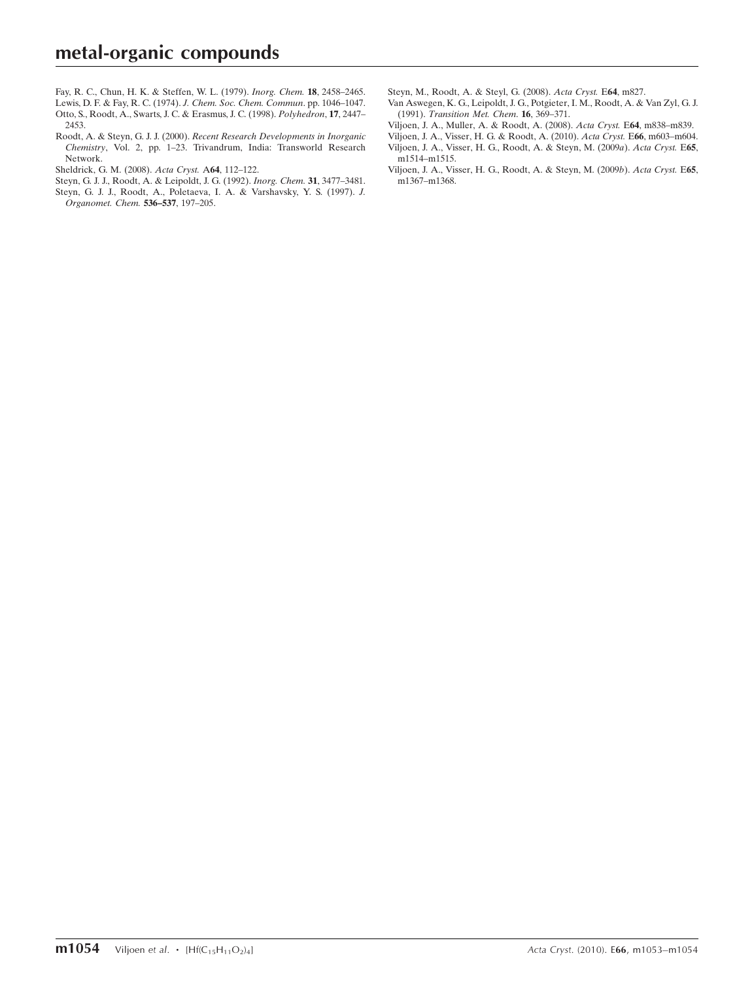- [Fay, R. C., Chun, H. K. & Steffen, W. L. \(1979\).](https://scripts.iucr.org/cgi-bin/cr.cgi?rm=pdfbb&cnor=bg2349&bbid=BB9) Inorg. Chem. 18, 2458–2465. [Lewis, D. F. & Fay, R. C. \(1974\).](https://scripts.iucr.org/cgi-bin/cr.cgi?rm=pdfbb&cnor=bg2349&bbid=BB10) J. Chem. Soc. Chem. Commun. pp. 1046–1047.
- [Otto, S., Roodt, A., Swarts, J. C. & Erasmus, J. C. \(1998\).](https://scripts.iucr.org/cgi-bin/cr.cgi?rm=pdfbb&cnor=bg2349&bbid=BB11) Polyhedron, 17, 2447– [2453.](https://scripts.iucr.org/cgi-bin/cr.cgi?rm=pdfbb&cnor=bg2349&bbid=BB11)
- Roodt, A. & Steyn, G. J. J. (2000). [Recent Research Developments in Inorganic](https://scripts.iucr.org/cgi-bin/cr.cgi?rm=pdfbb&cnor=bg2349&bbid=BB12) Chemistry[, Vol. 2, pp. 1–23. Trivandrum, India: Transworld Research](https://scripts.iucr.org/cgi-bin/cr.cgi?rm=pdfbb&cnor=bg2349&bbid=BB12) [Network.](https://scripts.iucr.org/cgi-bin/cr.cgi?rm=pdfbb&cnor=bg2349&bbid=BB12)
- [Sheldrick, G. M. \(2008\).](https://scripts.iucr.org/cgi-bin/cr.cgi?rm=pdfbb&cnor=bg2349&bbid=BB13) Acta Cryst. A64, 112–122.
- [Steyn, G. J. J., Roodt, A. & Leipoldt, J. G. \(1992\).](https://scripts.iucr.org/cgi-bin/cr.cgi?rm=pdfbb&cnor=bg2349&bbid=BB14) Inorg. Chem. 31, 3477–3481.
- [Steyn, G. J. J., Roodt, A., Poletaeva, I. A. & Varshavsky, Y. S. \(1997\).](https://scripts.iucr.org/cgi-bin/cr.cgi?rm=pdfbb&cnor=bg2349&bbid=BB15) J. [Organomet. Chem.](https://scripts.iucr.org/cgi-bin/cr.cgi?rm=pdfbb&cnor=bg2349&bbid=BB15) 536–537, 197–205.
- [Steyn, M., Roodt, A. & Steyl, G. \(2008\).](https://scripts.iucr.org/cgi-bin/cr.cgi?rm=pdfbb&cnor=bg2349&bbid=BB16) Acta Cryst. E64, m827.
- [Van Aswegen, K. G., Leipoldt, J. G., Potgieter, I. M., Roodt, A. & Van Zyl, G. J.](https://scripts.iucr.org/cgi-bin/cr.cgi?rm=pdfbb&cnor=bg2349&bbid=BB17) (1991). [Transition Met. Chem](https://scripts.iucr.org/cgi-bin/cr.cgi?rm=pdfbb&cnor=bg2349&bbid=BB17). 16, 369–371.
- [Viljoen, J. A., Muller, A. & Roodt, A. \(2008\).](https://scripts.iucr.org/cgi-bin/cr.cgi?rm=pdfbb&cnor=bg2349&bbid=BB18) Acta Cryst. E64, m838–m839.

[Viljoen, J. A., Visser, H. G. & Roodt, A. \(2010\).](https://scripts.iucr.org/cgi-bin/cr.cgi?rm=pdfbb&cnor=bg2349&bbid=BB19) Acta Cryst. E66, m603–m604. [Viljoen, J. A., Visser, H. G., Roodt, A. & Steyn, M. \(2009](https://scripts.iucr.org/cgi-bin/cr.cgi?rm=pdfbb&cnor=bg2349&bbid=BB20)a). Acta Cryst. E65,

[m1514–m1515.](https://scripts.iucr.org/cgi-bin/cr.cgi?rm=pdfbb&cnor=bg2349&bbid=BB20) [Viljoen, J. A., Visser, H. G., Roodt, A. & Steyn, M. \(2009](https://scripts.iucr.org/cgi-bin/cr.cgi?rm=pdfbb&cnor=bg2349&bbid=BB21)b). Acta Cryst. E65, m<sub>1367</sub>–m<sub>1368</sub>.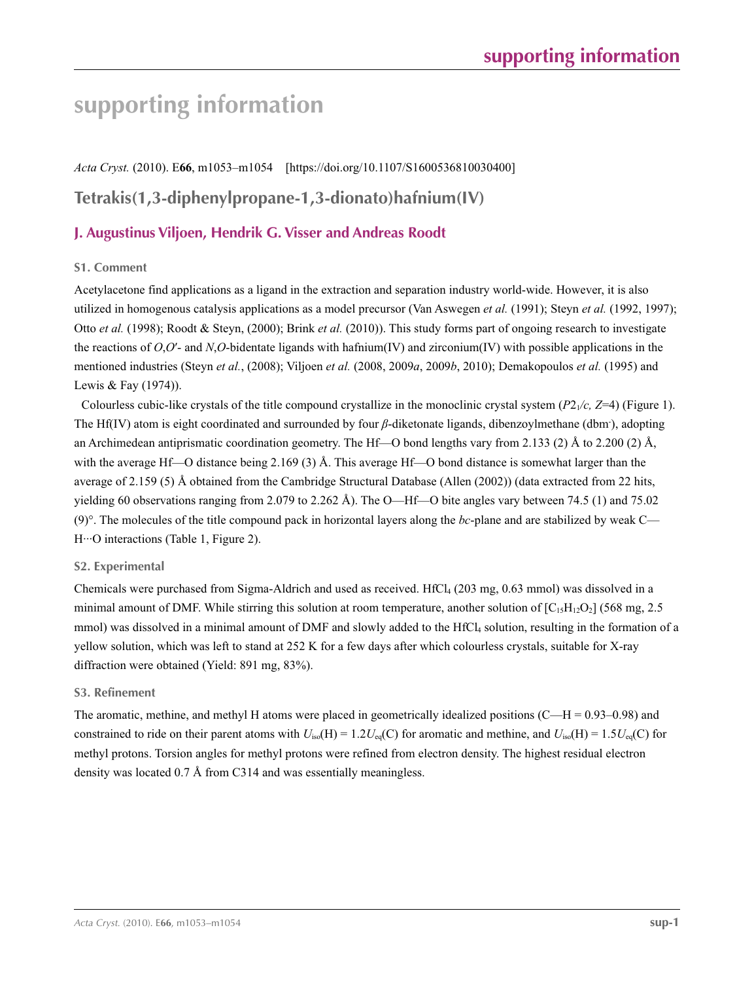*Acta Cryst.* (2010). E**66**, m1053–m1054 [https://doi.org/10.1107/S1600536810030400]

# **Tetrakis(1,3-diphenylpropane-1,3-dionato)hafnium(IV)**

## **J. Augustinus Viljoen, Hendrik G. Visser and Andreas Roodt**

## **S1. Comment**

Acetylacetone find applications as a ligand in the extraction and separation industry world-wide. However, it is also utilized in homogenous catalysis applications as a model precursor (Van Aswegen *et al.* (1991); Steyn *et al.* (1992, 1997); Otto *et al.* (1998); Roodt & Steyn, (2000); Brink *et al.* (2010)). This study forms part of ongoing research to investigate the reactions of *O*,*O*′- and *N*,*O*-bidentate ligands with hafnium(IV) and zirconium(IV) with possible applications in the mentioned industries (Steyn *et al.*, (2008); Viljoen *et al.* (2008, 2009*a*, 2009*b*, 2010); Demakopoulos *et al.* (1995) and Lewis & Fay (1974)).

Colourless cubic-like crystals of the title compound crystallize in the monoclinic crystal system  $(P2<sub>1</sub>/c, Z=4)$  (Figure 1). The Hf(IV) atom is eight coordinated and surrounded by four *β*-diketonate ligands, dibenzoylmethane (dbm<sup>-</sup>), adopting an Archimedean antiprismatic coordination geometry. The Hf—O bond lengths vary from 2.133 (2) Å to 2.200 (2) Å, with the average Hf—O distance being 2.169 (3) Å. This average Hf—O bond distance is somewhat larger than the average of 2.159 (5) Å obtained from the Cambridge Structural Database (Allen (2002)) (data extracted from 22 hits, yielding 60 observations ranging from 2.079 to 2.262 Å). The O—Hf—O bite angles vary between 74.5 (1) and 75.02 (9)°. The molecules of the title compound pack in horizontal layers along the *bc*-plane and are stabilized by weak C— H···O interactions (Table 1, Figure 2).

## **S2. Experimental**

Chemicals were purchased from Sigma-Aldrich and used as received. HfCl<sub>4</sub> (203 mg,  $0.63$  mmol) was dissolved in a minimal amount of DMF. While stirring this solution at room temperature, another solution of  $[C_{15}H_{12}O_2]$  (568 mg, 2.5) mmol) was dissolved in a minimal amount of DMF and slowly added to the HfCl<sub>4</sub> solution, resulting in the formation of a yellow solution, which was left to stand at 252 K for a few days after which colourless crystals, suitable for X-ray diffraction were obtained (Yield: 891 mg, 83%).

## **S3. Refinement**

The aromatic, methine, and methyl H atoms were placed in geometrically idealized positions  $(C-H = 0.93-0.98)$  and constrained to ride on their parent atoms with  $U_{iso}(H) = 1.2U_{eq}(C)$  for aromatic and methine, and  $U_{iso}(H) = 1.5U_{eq}(C)$  for methyl protons. Torsion angles for methyl protons were refined from electron density. The highest residual electron density was located 0.7 Å from C314 and was essentially meaningless.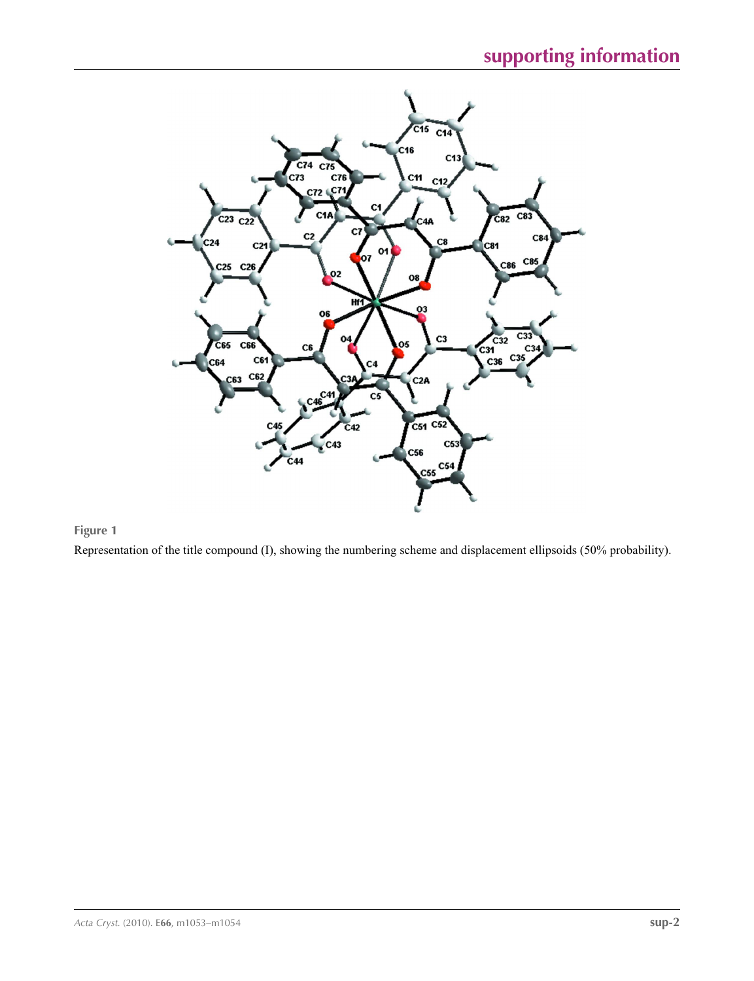

## **Figure 1**

Representation of the title compound (I), showing the numbering scheme and displacement ellipsoids (50% probability).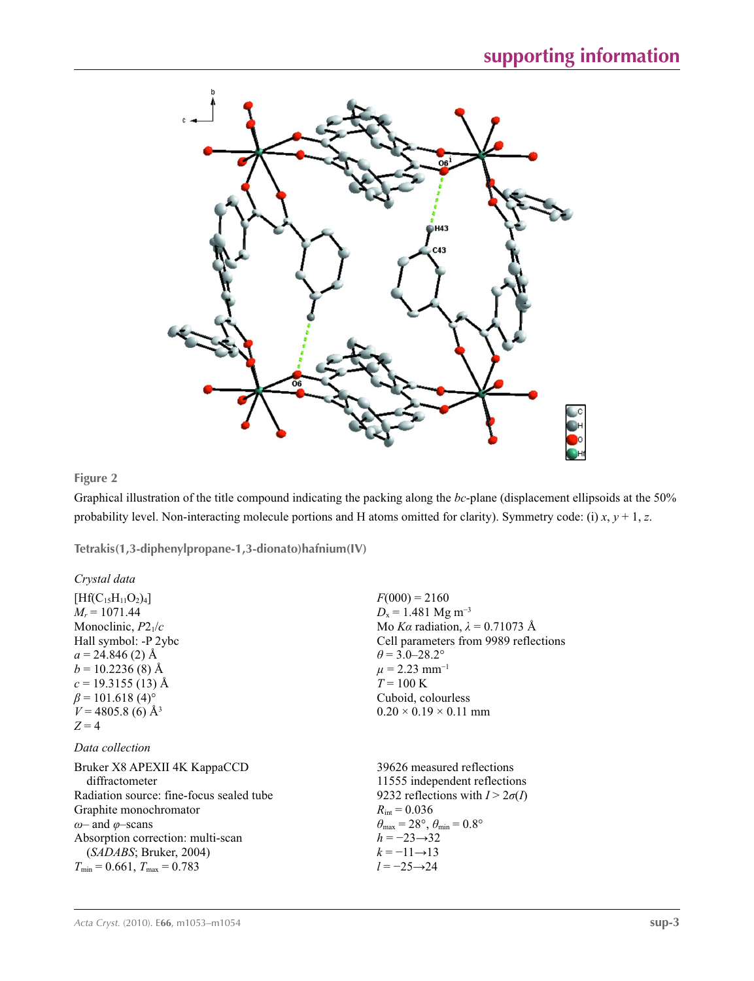

## **Figure 2**

Graphical illustration of the title compound indicating the packing along the *bc*-plane (displacement ellipsoids at the 50% probability level. Non-interacting molecule portions and H atoms omitted for clarity). Symmetry code: (i) *x*, *y* + 1, *z*.

**Tetrakis(1,3-diphenylpropane-1,3-dionato)hafnium(IV)** 

| Crystal data                             |                                                                       |
|------------------------------------------|-----------------------------------------------------------------------|
| $[Hf(C_{15}H_{11}O_2)_4]$                | $F(000) = 2160$                                                       |
| $M_r = 1071.44$                          | $D_x = 1.481$ Mg m <sup>-3</sup>                                      |
| Monoclinic, $P2_1/c$                     | Mo Ka radiation, $\lambda = 0.71073$ Å                                |
| Hall symbol: -P 2ybc                     | Cell parameters from 9989 reflections                                 |
| $a = 24.846(2)$ Å                        | $\theta$ = 3.0–28.2°                                                  |
| $b = 10.2236(8)$ Å                       | $\mu$ = 2.23 mm <sup>-1</sup>                                         |
| $c = 19.3155(13)$ Å                      | $T = 100 \text{ K}$                                                   |
| $\beta$ = 101.618 (4) <sup>o</sup>       | Cuboid, colourless                                                    |
| $V = 4805.8$ (6) Å <sup>3</sup>          | $0.20 \times 0.19 \times 0.11$ mm                                     |
| $Z=4$                                    |                                                                       |
| Data collection                          |                                                                       |
| Bruker X8 APEXII 4K KappaCCD             | 39626 measured reflections                                            |
| diffractometer                           | 11555 independent reflections                                         |
| Radiation source: fine-focus sealed tube | 9232 reflections with $I > 2\sigma(I)$                                |
| Graphite monochromator                   | $R_{\text{int}} = 0.036$                                              |
| $\omega$ and $\varphi$ -scans            | $\theta_{\text{max}} = 28^{\circ}, \theta_{\text{min}} = 0.8^{\circ}$ |
| Absorption correction: multi-scan        | $h = -23 \rightarrow 32$                                              |
| (SADABS; Bruker, 2004)                   | $k=-11\rightarrow13$                                                  |
| $T_{\min} = 0.661$ , $T_{\max} = 0.783$  | $l = -25 \rightarrow 24$                                              |
|                                          |                                                                       |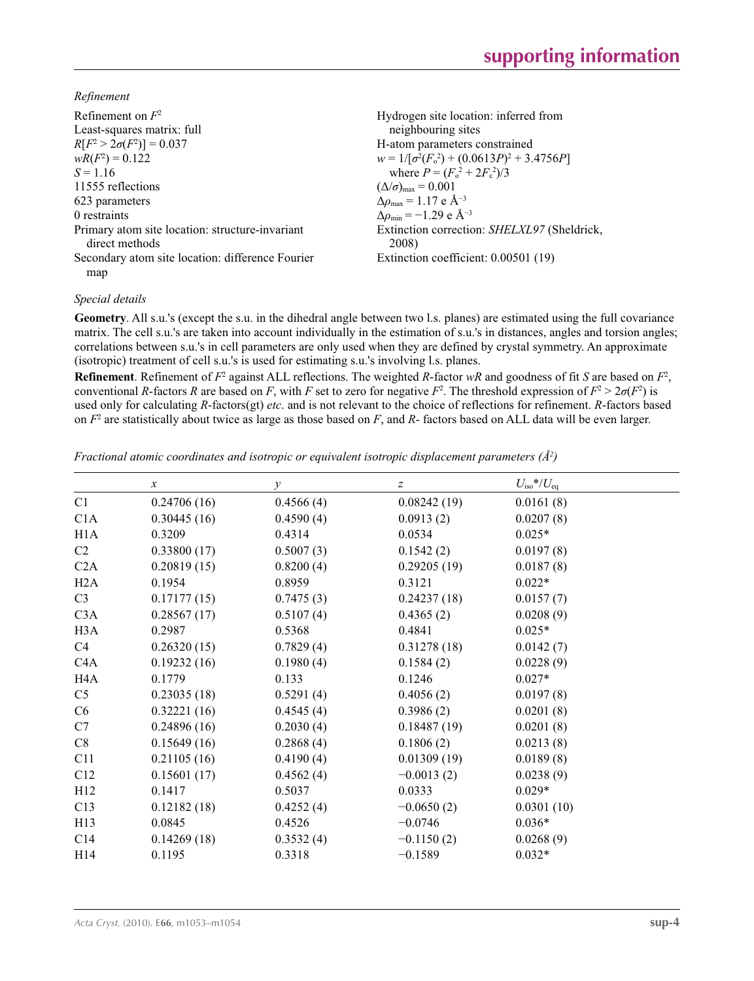*Refinement*

| Refinement on $F^2$                                               | Hydrogen site location: inferred from                |
|-------------------------------------------------------------------|------------------------------------------------------|
| Least-squares matrix: full                                        | neighbouring sites                                   |
| $R[F^2 > 2\sigma(F^2)] = 0.037$                                   | H-atom parameters constrained                        |
| $wR(F^2) = 0.122$                                                 | $w = 1/[\sigma^2(F_0^2) + (0.0613P)^2 + 3.4756P]$    |
| $S = 1.16$                                                        | where $P = (F_o^2 + 2F_s^2)/3$                       |
| 11555 reflections                                                 | $(\Delta/\sigma)_{\text{max}} = 0.001$               |
| 623 parameters                                                    | $\Delta \rho_{\rm max} = 1.17$ e Å <sup>-3</sup>     |
| 0 restraints                                                      | $\Delta\rho_{\rm min} = -1.29$ e Å <sup>-3</sup>     |
| Primary atom site location: structure-invariant<br>direct methods | Extinction correction: SHELXL97 (Sheldrick,<br>2008) |
| Secondary atom site location: difference Fourier<br>map           | Extinction coefficient: 0.00501 (19)                 |

### *Special details*

**Geometry**. All s.u.'s (except the s.u. in the dihedral angle between two l.s. planes) are estimated using the full covariance matrix. The cell s.u.'s are taken into account individually in the estimation of s.u.'s in distances, angles and torsion angles; correlations between s.u.'s in cell parameters are only used when they are defined by crystal symmetry. An approximate (isotropic) treatment of cell s.u.'s is used for estimating s.u.'s involving l.s. planes.

**Refinement**. Refinement of  $F^2$  against ALL reflections. The weighted  $R$ -factor  $wR$  and goodness of fit  $S$  are based on  $F^2$ , conventional *R*-factors *R* are based on *F*, with *F* set to zero for negative *F*<sup>2</sup>. The threshold expression of  $F^2 > 2\sigma(F^2)$  is used only for calculating *R*-factors(gt) *etc*. and is not relevant to the choice of reflections for refinement. *R*-factors based on *F*<sup>2</sup> are statistically about twice as large as those based on *F*, and *R*- factors based on ALL data will be even larger.

*Fractional atomic coordinates and isotropic or equivalent isotropic displacement parameters (Å<sup>2</sup>)* 

|                  | $\boldsymbol{x}$ | $\mathcal{Y}$ | $\boldsymbol{Z}$ | $U_{\rm iso}$ */ $U_{\rm eq}$ |  |
|------------------|------------------|---------------|------------------|-------------------------------|--|
| C1               | 0.24706(16)      | 0.4566(4)     | 0.08242(19)      | 0.0161(8)                     |  |
| C1A              | 0.30445(16)      | 0.4590(4)     | 0.0913(2)        | 0.0207(8)                     |  |
| H1A              | 0.3209           | 0.4314        | 0.0534           | $0.025*$                      |  |
| C <sub>2</sub>   | 0.33800(17)      | 0.5007(3)     | 0.1542(2)        | 0.0197(8)                     |  |
| C2A              | 0.20819(15)      | 0.8200(4)     | 0.29205(19)      | 0.0187(8)                     |  |
| H2A              | 0.1954           | 0.8959        | 0.3121           | $0.022*$                      |  |
| C <sub>3</sub>   | 0.17177(15)      | 0.7475(3)     | 0.24237(18)      | 0.0157(7)                     |  |
| C3A              | 0.28567(17)      | 0.5107(4)     | 0.4365(2)        | 0.0208(9)                     |  |
| H <sub>3</sub> A | 0.2987           | 0.5368        | 0.4841           | $0.025*$                      |  |
| C4               | 0.26320(15)      | 0.7829(4)     | 0.31278(18)      | 0.0142(7)                     |  |
| C4A              | 0.19232(16)      | 0.1980(4)     | 0.1584(2)        | 0.0228(9)                     |  |
| H <sub>4</sub> A | 0.1779           | 0.133         | 0.1246           | $0.027*$                      |  |
| C <sub>5</sub>   | 0.23035(18)      | 0.5291(4)     | 0.4056(2)        | 0.0197(8)                     |  |
| C6               | 0.32221(16)      | 0.4545(4)     | 0.3986(2)        | 0.0201(8)                     |  |
| C7               | 0.24896(16)      | 0.2030(4)     | 0.18487(19)      | 0.0201(8)                     |  |
| C8               | 0.15649(16)      | 0.2868(4)     | 0.1806(2)        | 0.0213(8)                     |  |
| C11              | 0.21105(16)      | 0.4190(4)     | 0.01309(19)      | 0.0189(8)                     |  |
| C12              | 0.15601(17)      | 0.4562(4)     | $-0.0013(2)$     | 0.0238(9)                     |  |
| H12              | 0.1417           | 0.5037        | 0.0333           | $0.029*$                      |  |
| C13              | 0.12182(18)      | 0.4252(4)     | $-0.0650(2)$     | 0.0301(10)                    |  |
| H13              | 0.0845           | 0.4526        | $-0.0746$        | $0.036*$                      |  |
| C14              | 0.14269(18)      | 0.3532(4)     | $-0.1150(2)$     | 0.0268(9)                     |  |
| H14              | 0.1195           | 0.3318        | $-0.1589$        | $0.032*$                      |  |
|                  |                  |               |                  |                               |  |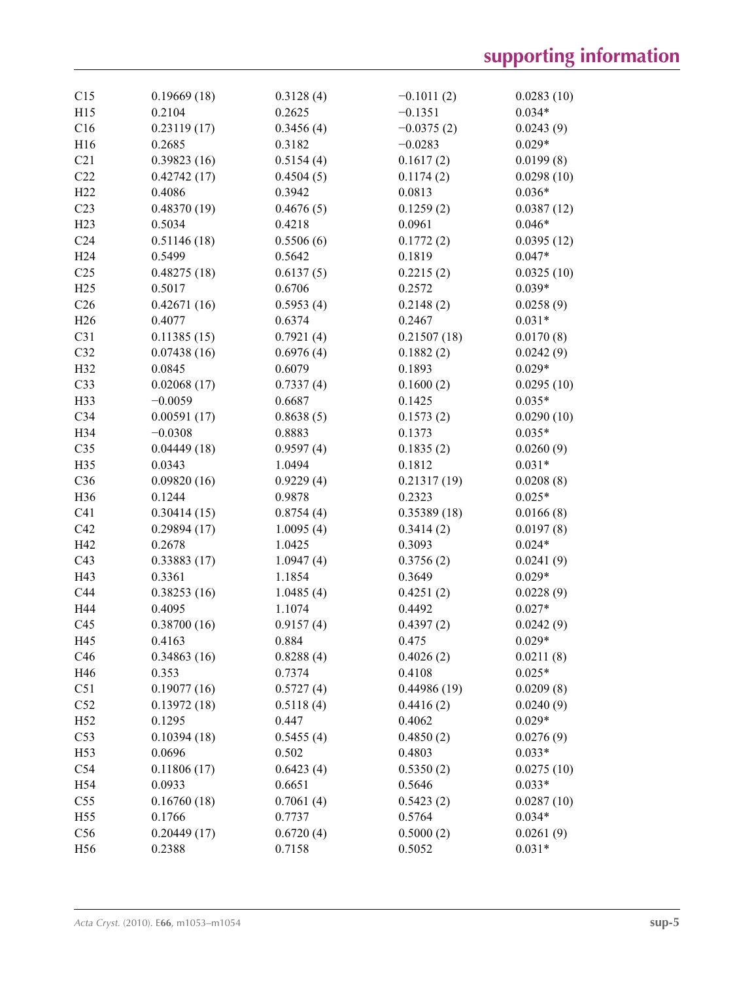| C15             | 0.19669(18) | 0.3128(4) | $-0.1011(2)$ | 0.0283(10) |
|-----------------|-------------|-----------|--------------|------------|
| H15             | 0.2104      | 0.2625    | $-0.1351$    | $0.034*$   |
| C16             | 0.23119(17) | 0.3456(4) | $-0.0375(2)$ | 0.0243(9)  |
| H16             | 0.2685      | 0.3182    | $-0.0283$    | $0.029*$   |
| C21             | 0.39823(16) | 0.5154(4) | 0.1617(2)    | 0.0199(8)  |
| C22             | 0.42742(17) | 0.4504(5) | 0.1174(2)    | 0.0298(10) |
| H22             | 0.4086      | 0.3942    | 0.0813       | $0.036*$   |
| C <sub>23</sub> | 0.48370(19) | 0.4676(5) | 0.1259(2)    | 0.0387(12) |
| H23             | 0.5034      | 0.4218    | 0.0961       | $0.046*$   |
| C <sub>24</sub> | 0.51146(18) | 0.5506(6) | 0.1772(2)    | 0.0395(12) |
| H <sub>24</sub> | 0.5499      | 0.5642    | 0.1819       | $0.047*$   |
| C <sub>25</sub> | 0.48275(18) | 0.6137(5) | 0.2215(2)    | 0.0325(10) |
| H25             | 0.5017      | 0.6706    | 0.2572       | $0.039*$   |
| C <sub>26</sub> | 0.42671(16) | 0.5953(4) | 0.2148(2)    | 0.0258(9)  |
| H <sub>26</sub> | 0.4077      | 0.6374    | 0.2467       | $0.031*$   |
| C31             | 0.11385(15) | 0.7921(4) | 0.21507(18)  | 0.0170(8)  |
| C32             | 0.07438(16) | 0.6976(4) | 0.1882(2)    | 0.0242(9)  |
| H32             | 0.0845      | 0.6079    | 0.1893       | $0.029*$   |
| C33             | 0.02068(17) | 0.7337(4) | 0.1600(2)    | 0.0295(10) |
| H33             | $-0.0059$   | 0.6687    | 0.1425       | $0.035*$   |
| C34             | 0.00591(17) |           | 0.1573(2)    | 0.0290(10) |
|                 |             | 0.8638(5) |              | $0.035*$   |
| H34             | $-0.0308$   | 0.8883    | 0.1373       |            |
| C <sub>35</sub> | 0.04449(18) | 0.9597(4) | 0.1835(2)    | 0.0260(9)  |
| H35             | 0.0343      | 1.0494    | 0.1812       | $0.031*$   |
| C36             | 0.09820(16) | 0.9229(4) | 0.21317(19)  | 0.0208(8)  |
| H36             | 0.1244      | 0.9878    | 0.2323       | $0.025*$   |
| C <sub>41</sub> | 0.30414(15) | 0.8754(4) | 0.35389(18)  | 0.0166(8)  |
| C42             | 0.29894(17) | 1.0095(4) | 0.3414(2)    | 0.0197(8)  |
| H42             | 0.2678      | 1.0425    | 0.3093       | $0.024*$   |
| C43             | 0.33883(17) | 1.0947(4) | 0.3756(2)    | 0.0241(9)  |
| H43             | 0.3361      | 1.1854    | 0.3649       | $0.029*$   |
| C44             | 0.38253(16) | 1.0485(4) | 0.4251(2)    | 0.0228(9)  |
| H44             | 0.4095      | 1.1074    | 0.4492       | $0.027*$   |
| C45             | 0.38700(16) | 0.9157(4) | 0.4397(2)    | 0.0242(9)  |
| H45             | 0.4163      | 0.884     | 0.475        | $0.029*$   |
| C46             | 0.34863(16) | 0.8288(4) | 0.4026(2)    | 0.0211(8)  |
| H46             | 0.353       | 0.7374    | 0.4108       | $0.025*$   |
| C51             | 0.19077(16) | 0.5727(4) | 0.44986(19)  | 0.0209(8)  |
| C52             | 0.13972(18) | 0.5118(4) | 0.4416(2)    | 0.0240(9)  |
| H <sub>52</sub> | 0.1295      | 0.447     | 0.4062       | $0.029*$   |
| C53             | 0.10394(18) | 0.5455(4) | 0.4850(2)    | 0.0276(9)  |
| H <sub>53</sub> | 0.0696      | 0.502     | 0.4803       | $0.033*$   |
| C54             | 0.11806(17) | 0.6423(4) | 0.5350(2)    | 0.0275(10) |
| H54             | 0.0933      | 0.6651    | 0.5646       | $0.033*$   |
| C55             | 0.16760(18) | 0.7061(4) | 0.5423(2)    | 0.0287(10) |
| H <sub>55</sub> | 0.1766      | 0.7737    | 0.5764       | $0.034*$   |
| C56             | 0.20449(17) | 0.6720(4) | 0.5000(2)    | 0.0261(9)  |
| H <sub>56</sub> | 0.2388      | 0.7158    | 0.5052       | $0.031*$   |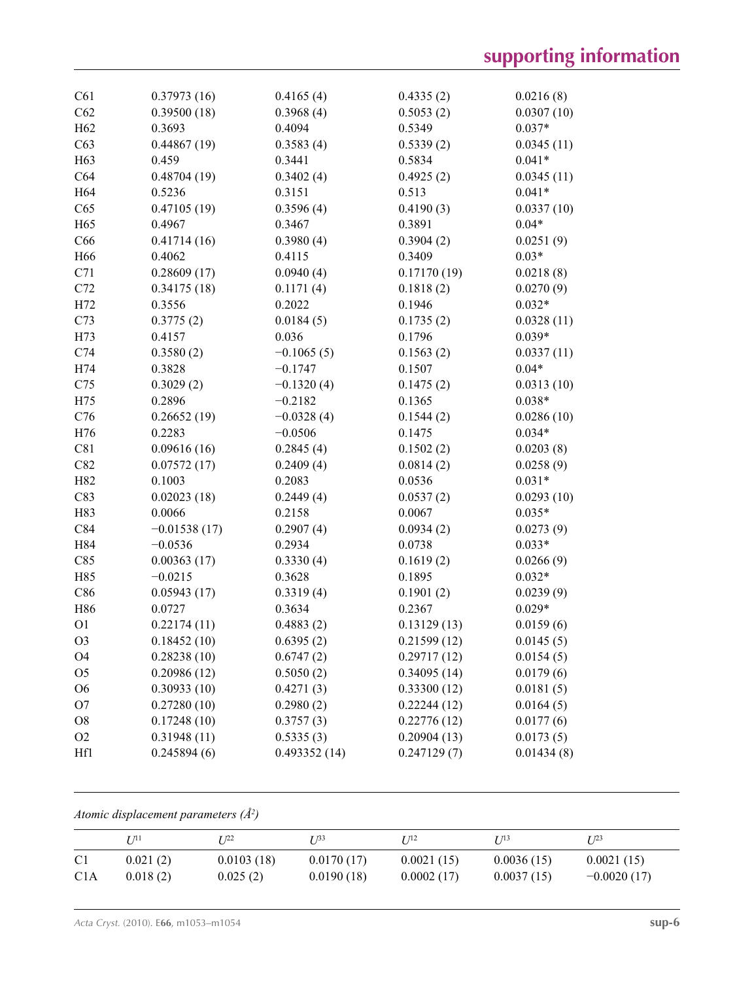| C61             | 0.37973(16)    | 0.4165(4)    | 0.4335(2)   | 0.0216(8)  |
|-----------------|----------------|--------------|-------------|------------|
| C62             | 0.39500(18)    | 0.3968(4)    | 0.5053(2)   | 0.0307(10) |
| H <sub>62</sub> | 0.3693         | 0.4094       | 0.5349      | $0.037*$   |
| C63             | 0.44867(19)    | 0.3583(4)    | 0.5339(2)   | 0.0345(11) |
| H63             | 0.459          | 0.3441       | 0.5834      | $0.041*$   |
| C64             | 0.48704(19)    | 0.3402(4)    | 0.4925(2)   | 0.0345(11) |
| H <sub>64</sub> | 0.5236         | 0.3151       | 0.513       | $0.041*$   |
| C65             | 0.47105(19)    | 0.3596(4)    | 0.4190(3)   | 0.0337(10) |
| H65             | 0.4967         | 0.3467       | 0.3891      | $0.04*$    |
| C66             | 0.41714(16)    | 0.3980(4)    | 0.3904(2)   | 0.0251(9)  |
| H66             | 0.4062         | 0.4115       | 0.3409      | $0.03*$    |
| C71             | 0.28609(17)    | 0.0940(4)    | 0.17170(19) | 0.0218(8)  |
| C72             | 0.34175(18)    | 0.1171(4)    | 0.1818(2)   | 0.0270(9)  |
| H72             | 0.3556         | 0.2022       | 0.1946      | $0.032*$   |
| C73             | 0.3775(2)      | 0.0184(5)    | 0.1735(2)   | 0.0328(11) |
| H73             | 0.4157         | 0.036        | 0.1796      | $0.039*$   |
| C74             | 0.3580(2)      | $-0.1065(5)$ | 0.1563(2)   | 0.0337(11) |
| H74             | 0.3828         | $-0.1747$    | 0.1507      | $0.04*$    |
| C75             | 0.3029(2)      | $-0.1320(4)$ | 0.1475(2)   | 0.0313(10) |
| H75             | 0.2896         | $-0.2182$    | 0.1365      | $0.038*$   |
| C76             | 0.26652(19)    | $-0.0328(4)$ | 0.1544(2)   | 0.0286(10) |
| H76             | 0.2283         | $-0.0506$    | 0.1475      | $0.034*$   |
| C81             | 0.09616(16)    | 0.2845(4)    | 0.1502(2)   | 0.0203(8)  |
| C82             | 0.07572(17)    | 0.2409(4)    | 0.0814(2)   | 0.0258(9)  |
| H82             | 0.1003         | 0.2083       | 0.0536      | $0.031*$   |
| C83             | 0.02023(18)    | 0.2449(4)    | 0.0537(2)   | 0.0293(10) |
| H83             | 0.0066         | 0.2158       | 0.0067      | $0.035*$   |
| C84             | $-0.01538(17)$ | 0.2907(4)    | 0.0934(2)   | 0.0273(9)  |
| H84             | $-0.0536$      | 0.2934       | 0.0738      | $0.033*$   |
| C85             | 0.00363(17)    | 0.3330(4)    | 0.1619(2)   | 0.0266(9)  |
| H85             | $-0.0215$      | 0.3628       | 0.1895      | $0.032*$   |
| C86             | 0.05943(17)    | 0.3319(4)    | 0.1901(2)   | 0.0239(9)  |
| H86             | 0.0727         | 0.3634       | 0.2367      | $0.029*$   |
| O <sub>1</sub>  | 0.22174(11)    | 0.4883(2)    | 0.13129(13) | 0.0159(6)  |
| O <sub>3</sub>  | 0.18452(10)    | 0.6395(2)    | 0.21599(12) | 0.0145(5)  |
| O4              | 0.28238(10)    | 0.6747(2)    | 0.29717(12) | 0.0154(5)  |
| O <sub>5</sub>  | 0.20986(12)    | 0.5050(2)    | 0.34095(14) | 0.0179(6)  |
| O <sub>6</sub>  | 0.30933(10)    | 0.4271(3)    | 0.33300(12) | 0.0181(5)  |
| O <sub>7</sub>  | 0.27280(10)    | 0.2980(2)    | 0.22244(12) | 0.0164(5)  |
| O <sub>8</sub>  | 0.17248(10)    | 0.3757(3)    | 0.22776(12) | 0.0177(6)  |
| O <sub>2</sub>  | 0.31948(11)    | 0.5335(3)    | 0.20904(13) | 0.0173(5)  |
| Hf1             | 0.245894(6)    | 0.493352(14) | 0.247129(7) | 0.01434(8) |
|                 |                |              |             |            |

*Atomic displacement parameters (Å2 )*

|                  | <i>I 1</i> 11 | T 122      | I 133      | I 112      | $I^{13}$   | $I^{23}$      |
|------------------|---------------|------------|------------|------------|------------|---------------|
| C <sub>1</sub>   | 0.021(2)      | 0.0103(18) | 0.0170(17) | 0.0021(15) | 0.0036(15) | 0.0021(15)    |
| C <sub>1</sub> A | 0.018(2)      | 0.025(2)   | 0.0190(18) | 0.0002(17) | 0.0037(15) | $-0.0020(17)$ |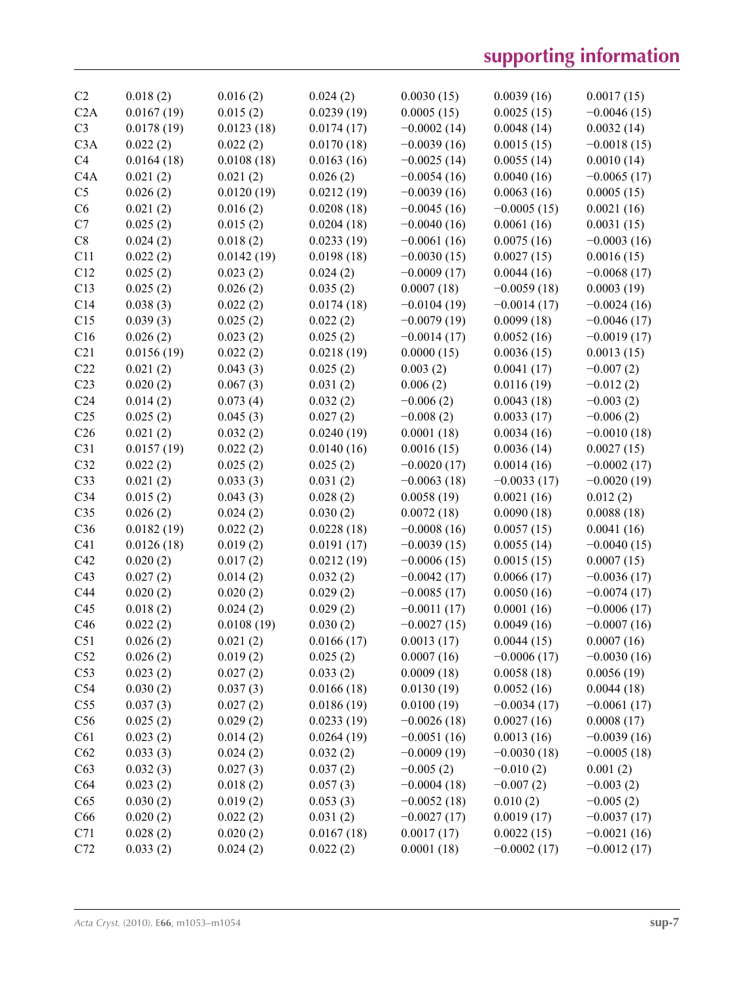| C <sub>2</sub>   | 0.018(2)             | 0.016(2)   | 0.024(2)   | 0.0030(15)    | 0.0039(16)    | 0.0017(15)    |
|------------------|----------------------|------------|------------|---------------|---------------|---------------|
| C2A              | 0.0167(19)           | 0.015(2)   | 0.0239(19) | 0.0005(15)    | 0.0025(15)    | $-0.0046(15)$ |
| C <sub>3</sub>   | 0.0178(19)           | 0.0123(18) | 0.0174(17) | $-0.0002(14)$ | 0.0048(14)    | 0.0032(14)    |
| C3A              | 0.022(2)             | 0.022(2)   | 0.0170(18) | $-0.0039(16)$ | 0.0015(15)    | $-0.0018(15)$ |
| C4               | 0.0164(18)           | 0.0108(18) | 0.0163(16) | $-0.0025(14)$ | 0.0055(14)    | 0.0010(14)    |
| C <sub>4</sub> A | 0.021(2)             | 0.021(2)   | 0.026(2)   | $-0.0054(16)$ | 0.0040(16)    | $-0.0065(17)$ |
| C <sub>5</sub>   | 0.026(2)             | 0.0120(19) | 0.0212(19) | $-0.0039(16)$ | 0.0063(16)    | 0.0005(15)    |
| C6               | 0.021(2)             | 0.016(2)   | 0.0208(18) | $-0.0045(16)$ | $-0.0005(15)$ | 0.0021(16)    |
| C7               | 0.025(2)             | 0.015(2)   | 0.0204(18) | $-0.0040(16)$ | 0.0061(16)    | 0.0031(15)    |
| C8               | 0.024(2)             | 0.018(2)   | 0.0233(19) | $-0.0061(16)$ | 0.0075(16)    | $-0.0003(16)$ |
| C11              | 0.022(2)             | 0.0142(19) | 0.0198(18) | $-0.0030(15)$ | 0.0027(15)    | 0.0016(15)    |
| C12              | 0.025(2)             | 0.023(2)   | 0.024(2)   | $-0.0009(17)$ | 0.0044(16)    | $-0.0068(17)$ |
| C13              | 0.025(2)             | 0.026(2)   | 0.035(2)   | 0.0007(18)    | $-0.0059(18)$ | 0.0003(19)    |
| C14              | 0.038(3)             | 0.022(2)   | 0.0174(18) | $-0.0104(19)$ | $-0.0014(17)$ | $-0.0024(16)$ |
| C15              | 0.039(3)             | 0.025(2)   | 0.022(2)   | $-0.0079(19)$ | 0.0099(18)    | $-0.0046(17)$ |
| C16              | 0.026(2)             | 0.023(2)   | 0.025(2)   | $-0.0014(17)$ | 0.0052(16)    | $-0.0019(17)$ |
| C <sub>21</sub>  | 0.0156(19)           | 0.022(2)   | 0.0218(19) | 0.0000(15)    | 0.0036(15)    | 0.0013(15)    |
| C22              | 0.021(2)             | 0.043(3)   | 0.025(2)   | 0.003(2)      | 0.0041(17)    | $-0.007(2)$   |
| C <sub>23</sub>  | 0.020(2)             | 0.067(3)   | 0.031(2)   | 0.006(2)      | 0.0116(19)    | $-0.012(2)$   |
| C <sub>24</sub>  | 0.014(2)             | 0.073(4)   | 0.032(2)   | $-0.006(2)$   | 0.0043(18)    | $-0.003(2)$   |
| C <sub>25</sub>  | 0.025(2)             | 0.045(3)   | 0.027(2)   | $-0.008(2)$   | 0.0033(17)    | $-0.006(2)$   |
| C <sub>26</sub>  | 0.021(2)             | 0.032(2)   | 0.0240(19) | 0.0001(18)    | 0.0034(16)    | $-0.0010(18)$ |
| C31              | 0.0157(19)           | 0.022(2)   | 0.0140(16) | 0.0016(15)    | 0.0036(14)    | 0.0027(15)    |
| C32              | 0.022(2)             | 0.025(2)   | 0.025(2)   | $-0.0020(17)$ | 0.0014(16)    | $-0.0002(17)$ |
| C33              | 0.021(2)             | 0.033(3)   | 0.031(2)   | $-0.0063(18)$ | $-0.0033(17)$ | $-0.0020(19)$ |
| C <sub>34</sub>  | 0.015(2)             | 0.043(3)   | 0.028(2)   | 0.0058(19)    | 0.0021(16)    | 0.012(2)      |
| C <sub>35</sub>  | 0.026(2)             | 0.024(2)   | 0.030(2)   | 0.0072(18)    | 0.0090(18)    | 0.0088(18)    |
| C36              | 0.0182(19)           | 0.022(2)   | 0.0228(18) | $-0.0008(16)$ | 0.0057(15)    | 0.0041(16)    |
| C <sub>41</sub>  | 0.0126(18)           | 0.019(2)   | 0.0191(17) | $-0.0039(15)$ | 0.0055(14)    | $-0.0040(15)$ |
| C42              | 0.020(2)             | 0.017(2)   | 0.0212(19) | $-0.0006(15)$ | 0.0015(15)    | 0.0007(15)    |
| C <sub>43</sub>  | 0.027(2)             | 0.014(2)   | 0.032(2)   | $-0.0042(17)$ | 0.0066(17)    | $-0.0036(17)$ |
| C44              | 0.020(2)             | 0.020(2)   | 0.029(2)   | $-0.0085(17)$ | 0.0050(16)    | $-0.0074(17)$ |
| C <sub>45</sub>  |                      | 0.024(2)   | 0.029(2)   | $-0.0011(17)$ | 0.0001(16)    | $-0.0006(17)$ |
| C46              | 0.018(2)<br>0.022(2) | 0.0108(19) | 0.030(2)   | $-0.0027(15)$ | 0.0049(16)    | $-0.0007(16)$ |
| C51              | 0.026(2)             | 0.021(2)   | 0.0166(17) | 0.0013(17)    | 0.0044(15)    | 0.0007(16)    |
|                  |                      |            |            |               |               |               |
| C52              | 0.026(2)             | 0.019(2)   | 0.025(2)   | 0.0007(16)    | $-0.0006(17)$ | $-0.0030(16)$ |
| C53              | 0.023(2)             | 0.027(2)   | 0.033(2)   | 0.0009(18)    | 0.0058(18)    | 0.0056(19)    |
| C54              | 0.030(2)             | 0.037(3)   | 0.0166(18) | 0.0130(19)    | 0.0052(16)    | 0.0044(18)    |
| C <sub>55</sub>  | 0.037(3)             | 0.027(2)   | 0.0186(19) | 0.0100(19)    | $-0.0034(17)$ | $-0.0061(17)$ |
| C56              | 0.025(2)             | 0.029(2)   | 0.0233(19) | $-0.0026(18)$ | 0.0027(16)    | 0.0008(17)    |
| C61              | 0.023(2)             | 0.014(2)   | 0.0264(19) | $-0.0051(16)$ | 0.0013(16)    | $-0.0039(16)$ |
| C62              | 0.033(3)             | 0.024(2)   | 0.032(2)   | $-0.0009(19)$ | $-0.0030(18)$ | $-0.0005(18)$ |
| C63              | 0.032(3)             | 0.027(3)   | 0.037(2)   | $-0.005(2)$   | $-0.010(2)$   | 0.001(2)      |
| C64              | 0.023(2)             | 0.018(2)   | 0.057(3)   | $-0.0004(18)$ | $-0.007(2)$   | $-0.003(2)$   |
| C65              | 0.030(2)             | 0.019(2)   | 0.053(3)   | $-0.0052(18)$ | 0.010(2)      | $-0.005(2)$   |
| C66              | 0.020(2)             | 0.022(2)   | 0.031(2)   | $-0.0027(17)$ | 0.0019(17)    | $-0.0037(17)$ |
| C71              | 0.028(2)             | 0.020(2)   | 0.0167(18) | 0.0017(17)    | 0.0022(15)    | $-0.0021(16)$ |
| C <sub>72</sub>  | 0.033(2)             | 0.024(2)   | 0.022(2)   | 0.0001(18)    | $-0.0002(17)$ | $-0.0012(17)$ |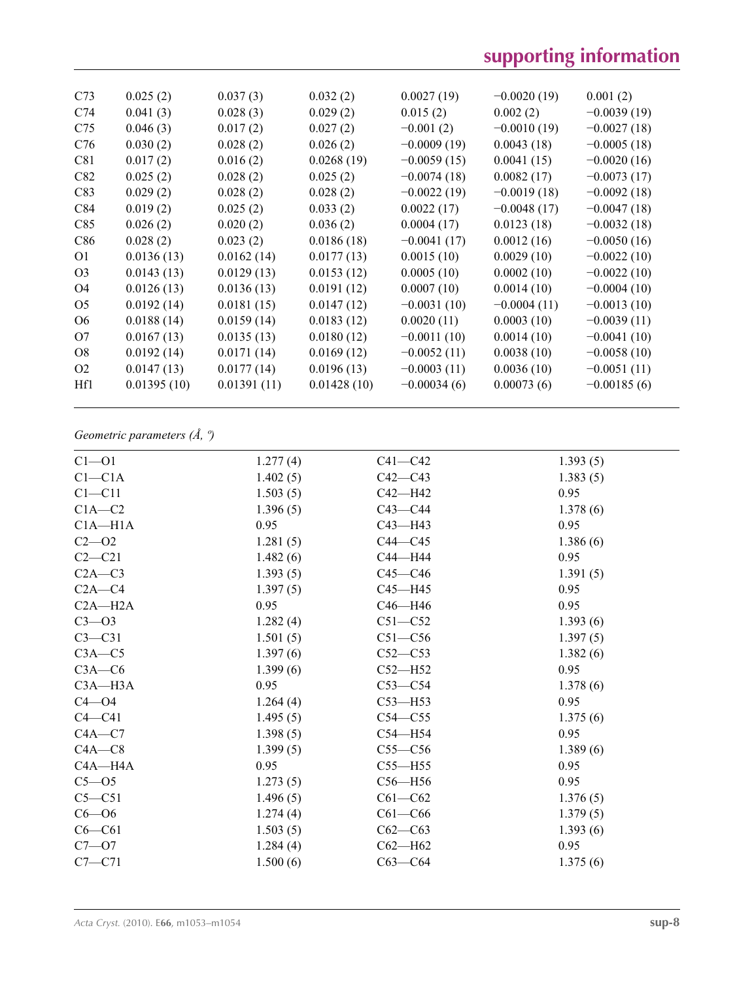| C <sub>73</sub> | 0.025(2)    | 0.037(3)    | 0.032(2)    | 0.0027(19)    | $-0.0020(19)$ | 0.001(2)      |
|-----------------|-------------|-------------|-------------|---------------|---------------|---------------|
| C <sub>74</sub> | 0.041(3)    | 0.028(3)    | 0.029(2)    | 0.015(2)      | 0.002(2)      | $-0.0039(19)$ |
| C <sub>75</sub> | 0.046(3)    | 0.017(2)    | 0.027(2)    | $-0.001(2)$   | $-0.0010(19)$ | $-0.0027(18)$ |
| C76             | 0.030(2)    | 0.028(2)    | 0.026(2)    | $-0.0009(19)$ | 0.0043(18)    | $-0.0005(18)$ |
| C81             | 0.017(2)    | 0.016(2)    | 0.0268(19)  | $-0.0059(15)$ | 0.0041(15)    | $-0.0020(16)$ |
| C82             | 0.025(2)    | 0.028(2)    | 0.025(2)    | $-0.0074(18)$ | 0.0082(17)    | $-0.0073(17)$ |
| C83             | 0.029(2)    | 0.028(2)    | 0.028(2)    | $-0.0022(19)$ | $-0.0019(18)$ | $-0.0092(18)$ |
| C84             | 0.019(2)    | 0.025(2)    | 0.033(2)    | 0.0022(17)    | $-0.0048(17)$ | $-0.0047(18)$ |
| C85             | 0.026(2)    | 0.020(2)    | 0.036(2)    | 0.0004(17)    | 0.0123(18)    | $-0.0032(18)$ |
| C86             | 0.028(2)    | 0.023(2)    | 0.0186(18)  | $-0.0041(17)$ | 0.0012(16)    | $-0.0050(16)$ |
| O <sub>1</sub>  | 0.0136(13)  | 0.0162(14)  | 0.0177(13)  | 0.0015(10)    | 0.0029(10)    | $-0.0022(10)$ |
| O <sub>3</sub>  | 0.0143(13)  | 0.0129(13)  | 0.0153(12)  | 0.0005(10)    | 0.0002(10)    | $-0.0022(10)$ |
| O4              | 0.0126(13)  | 0.0136(13)  | 0.0191(12)  | 0.0007(10)    | 0.0014(10)    | $-0.0004(10)$ |
| O <sub>5</sub>  | 0.0192(14)  | 0.0181(15)  | 0.0147(12)  | $-0.0031(10)$ | $-0.0004(11)$ | $-0.0013(10)$ |
| O <sub>6</sub>  | 0.0188(14)  | 0.0159(14)  | 0.0183(12)  | 0.0020(11)    | 0.0003(10)    | $-0.0039(11)$ |
| O7              | 0.0167(13)  | 0.0135(13)  | 0.0180(12)  | $-0.0011(10)$ | 0.0014(10)    | $-0.0041(10)$ |
| <b>O8</b>       | 0.0192(14)  | 0.0171(14)  | 0.0169(12)  | $-0.0052(11)$ | 0.0038(10)    | $-0.0058(10)$ |
| O <sub>2</sub>  | 0.0147(13)  | 0.0177(14)  | 0.0196(13)  | $-0.0003(11)$ | 0.0036(10)    | $-0.0051(11)$ |
| Hf1             | 0.01395(10) | 0.01391(11) | 0.01428(10) | $-0.00034(6)$ | 0.00073(6)    | $-0.00185(6)$ |
|                 |             |             |             |               |               |               |

# *Geometric parameters (Å, º)*

| $Cl - O1$   | 1.277(4) | $C41 - C42$ | 1.393(5) |
|-------------|----------|-------------|----------|
| $Cl - C1A$  | 1.402(5) | $C42 - C43$ | 1.383(5) |
| $C1 - C11$  | 1.503(5) | $C42 - H42$ | 0.95     |
| $C1A-C2$    | 1.396(5) | $C43 - C44$ | 1.378(6) |
| $C1A - H1A$ | 0.95     | $C43 - H43$ | 0.95     |
| $C2 - 02$   | 1.281(5) | $C44 - C45$ | 1.386(6) |
| $C2-C21$    | 1.482(6) | C44-H44     | 0.95     |
| $C2A-C3$    | 1.393(5) | $C45 - C46$ | 1.391(5) |
| $C2A - C4$  | 1.397(5) | $C45 - H45$ | 0.95     |
| $C2A - H2A$ | 0.95     | $C46 - H46$ | 0.95     |
| $C3 - 03$   | 1.282(4) | $C51 - C52$ | 1.393(6) |
| $C3-C31$    | 1.501(5) | $C51 - C56$ | 1.397(5) |
| $C3A - C5$  | 1.397(6) | $C52-C53$   | 1.382(6) |
| $C3A - C6$  | 1.399(6) | $C52 - H52$ | 0.95     |
| $C3A - H3A$ | 0.95     | $C53-C54$   | 1.378(6) |
| $C4 - O4$   | 1.264(4) | $C53$ —H53  | 0.95     |
| $C4 - C41$  | 1.495(5) | $C54 - C55$ | 1.375(6) |
| $C4A - C7$  | 1.398(5) | $C54 - H54$ | 0.95     |
| $C4A - C8$  | 1.399(5) | $C55-C56$   | 1.389(6) |
| $C4A - H4A$ | 0.95     | $C55 - H55$ | 0.95     |
| $C5-05$     | 1.273(5) | $C56 - H56$ | 0.95     |
| $C5 - C51$  | 1.496(5) | $C61 - C62$ | 1.376(5) |
| $C6 - O6$   | 1.274(4) | $C61 - C66$ | 1.379(5) |
| $C6 - C61$  | 1.503(5) | $C62 - C63$ | 1.393(6) |
| $C7 - 07$   | 1.284(4) | $C62 - H62$ | 0.95     |
| $C7 - C71$  | 1.500(6) | $C63-C64$   | 1.375(6) |
|             |          |             |          |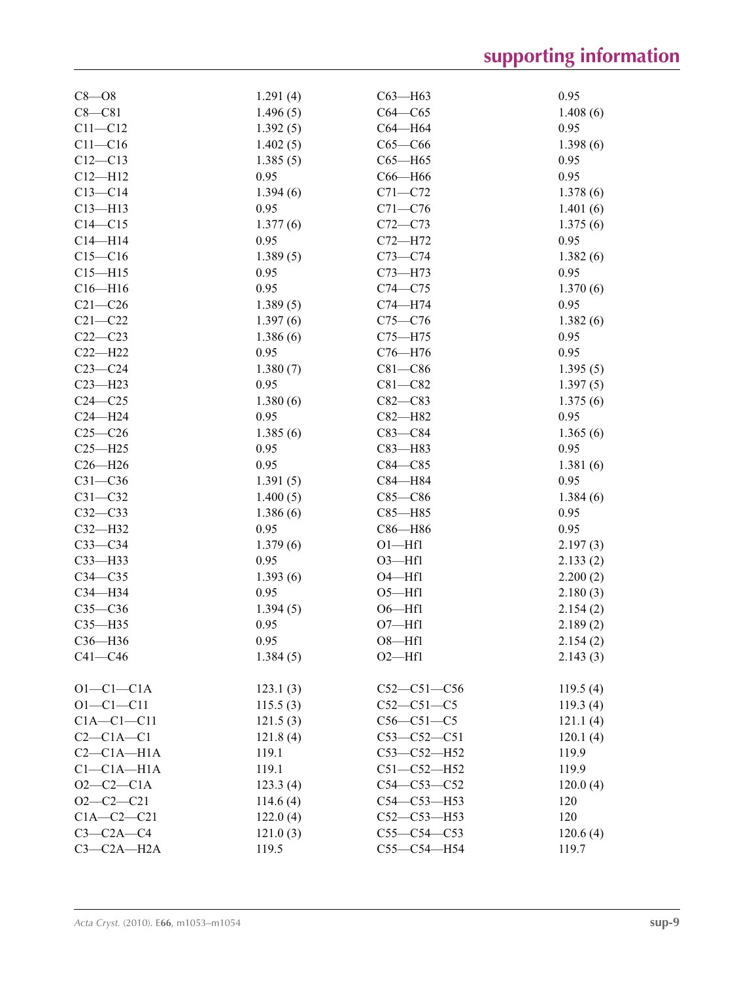| 1.496(5)<br>$C64 - C65$<br>1.408(6)<br>$C8 - C81$<br>$C11 - C12$<br>0.95<br>1.392(5)<br>C64-H64<br>$C11 - C16$<br>1.402(5)<br>$C65-C66$<br>1.398(6)<br>$C12 - C13$<br>1.385(5)<br>$C65 - H65$<br>0.95<br>C66-H66<br>0.95<br>$C12 - H12$<br>0.95<br>1.394(6)<br>$C13 - C14$<br>$C71 - C72$<br>1.378(6)<br>0.95<br>$C71 - C76$<br>$C13 - H13$<br>1.401(6)<br>$C14 - C15$<br>1.377(6)<br>$C72 - C73$<br>1.375(6)<br>0.95<br>0.95<br>$C14 - H14$<br>C72-H72<br>$C15-C16$<br>1.389(5)<br>$C73 - C74$<br>1.382(6)<br>$C73 - H73$<br>0.95<br>$C15 - H15$<br>0.95<br>0.95<br>$C16 - H16$<br>$C74 - C75$<br>1.370(6)<br>1.389(5)<br>0.95<br>$C21 - C26$<br>$C74 - H74$<br>$C21 - C22$<br>1.397(6)<br>$C75 - C76$<br>1.382(6)<br>$C22-C23$<br>1.386(6)<br>$C75 - H75$<br>0.95<br>$C22-H22$<br>0.95<br>0.95<br>$C76 - H76$<br>$C23-C24$<br>1.380(7)<br>$C81 - C86$<br>1.395(5)<br>$C23 - H23$<br>0.95<br>$C81 - C82$<br>1.397(5)<br>$C24 - C25$<br>1.380(6)<br>$C82-C83$<br>1.375(6)<br>0.95<br>0.95<br>$C24 - H24$<br>C82-H82<br>$C25-C26$<br>1.385(6)<br>$C83 - C84$<br>1.365(6)<br>0.95<br>0.95<br>$C25 - H25$<br>$C83 - H83$<br>0.95<br>$C26 - H26$<br>$C84 - C85$<br>1.381(6)<br>$C31 - C36$<br>1.391(5)<br>C84-H84<br>0.95<br>$C31 - C32$<br>1.400(5)<br>$C85 - C86$<br>1.384(6)<br>0.95<br>$C32-C33$<br>1.386(6)<br>$C85 - H85$<br>$C32-H32$<br>0.95<br>C86-H86<br>0.95<br>1.379(6)<br>$O1 - Hf1$<br>$C33-C34$<br>2.197(3)<br>$C33$ -H33<br>0.95<br>$O3 - Hf1$<br>2.133(2)<br>$C34 - C35$<br>1.393(6)<br>$O4 - Hf1$<br>2.200(2)<br>0.95<br>$O5 - Hf1$<br>C34-H34<br>2.180(3)<br>$C35-C36$<br>1.394(5)<br>$O6 - Hf1$<br>2.154(2)<br>0.95<br>$O7 - Hf1$<br>$C35 - H35$<br>2.189(2)<br>C36-H36<br>0.95<br>$O8 - Hf1$<br>2.154(2)<br>$C41 - C46$<br>1.384(5)<br>$O2$ —Hf1<br>2.143(3)<br>$O1-C1-C1A$<br>$C52 - C51 - C56$<br>119.5(4)<br>123.1(3)<br>$O1 - C1 - C11$<br>$C52 - C51 - C5$<br>115.5(3)<br>119.3(4)<br>$C1A - C1 - C11$<br>121.5(3)<br>$C56-C51-C5$<br>121.1(4)<br>$C2-C1A-C1$<br>121.8(4)<br>$C53 - C52 - C51$<br>120.1(4)<br>$C2-C1A-H1A$<br>119.1<br>$C53 - C52 - H52$<br>119.9<br>$Cl$ - $Cl$ A- $H$ $1A$<br>119.1<br>$C51 - C52 - H52$<br>119.9<br>$O2-C2-C1A$<br>$C54 - C53 - C52$<br>120.0(4)<br>123.3(4)<br>$O2-C2-C21$<br>$C54 - C53 - H53$<br>120<br>114.6(4) | $C8 - O8$    | 1.291(4) | $C63$ —H63        | 0.95 |
|------------------------------------------------------------------------------------------------------------------------------------------------------------------------------------------------------------------------------------------------------------------------------------------------------------------------------------------------------------------------------------------------------------------------------------------------------------------------------------------------------------------------------------------------------------------------------------------------------------------------------------------------------------------------------------------------------------------------------------------------------------------------------------------------------------------------------------------------------------------------------------------------------------------------------------------------------------------------------------------------------------------------------------------------------------------------------------------------------------------------------------------------------------------------------------------------------------------------------------------------------------------------------------------------------------------------------------------------------------------------------------------------------------------------------------------------------------------------------------------------------------------------------------------------------------------------------------------------------------------------------------------------------------------------------------------------------------------------------------------------------------------------------------------------------------------------------------------------------------------------------------------------------------------------------------------------------------------------------------------------------------------------------------------------------------------------------------------------------------------------------------------------------------------------------------------------------------------------------------------------------------------------------|--------------|----------|-------------------|------|
|                                                                                                                                                                                                                                                                                                                                                                                                                                                                                                                                                                                                                                                                                                                                                                                                                                                                                                                                                                                                                                                                                                                                                                                                                                                                                                                                                                                                                                                                                                                                                                                                                                                                                                                                                                                                                                                                                                                                                                                                                                                                                                                                                                                                                                                                              |              |          |                   |      |
|                                                                                                                                                                                                                                                                                                                                                                                                                                                                                                                                                                                                                                                                                                                                                                                                                                                                                                                                                                                                                                                                                                                                                                                                                                                                                                                                                                                                                                                                                                                                                                                                                                                                                                                                                                                                                                                                                                                                                                                                                                                                                                                                                                                                                                                                              |              |          |                   |      |
|                                                                                                                                                                                                                                                                                                                                                                                                                                                                                                                                                                                                                                                                                                                                                                                                                                                                                                                                                                                                                                                                                                                                                                                                                                                                                                                                                                                                                                                                                                                                                                                                                                                                                                                                                                                                                                                                                                                                                                                                                                                                                                                                                                                                                                                                              |              |          |                   |      |
|                                                                                                                                                                                                                                                                                                                                                                                                                                                                                                                                                                                                                                                                                                                                                                                                                                                                                                                                                                                                                                                                                                                                                                                                                                                                                                                                                                                                                                                                                                                                                                                                                                                                                                                                                                                                                                                                                                                                                                                                                                                                                                                                                                                                                                                                              |              |          |                   |      |
|                                                                                                                                                                                                                                                                                                                                                                                                                                                                                                                                                                                                                                                                                                                                                                                                                                                                                                                                                                                                                                                                                                                                                                                                                                                                                                                                                                                                                                                                                                                                                                                                                                                                                                                                                                                                                                                                                                                                                                                                                                                                                                                                                                                                                                                                              |              |          |                   |      |
|                                                                                                                                                                                                                                                                                                                                                                                                                                                                                                                                                                                                                                                                                                                                                                                                                                                                                                                                                                                                                                                                                                                                                                                                                                                                                                                                                                                                                                                                                                                                                                                                                                                                                                                                                                                                                                                                                                                                                                                                                                                                                                                                                                                                                                                                              |              |          |                   |      |
|                                                                                                                                                                                                                                                                                                                                                                                                                                                                                                                                                                                                                                                                                                                                                                                                                                                                                                                                                                                                                                                                                                                                                                                                                                                                                                                                                                                                                                                                                                                                                                                                                                                                                                                                                                                                                                                                                                                                                                                                                                                                                                                                                                                                                                                                              |              |          |                   |      |
|                                                                                                                                                                                                                                                                                                                                                                                                                                                                                                                                                                                                                                                                                                                                                                                                                                                                                                                                                                                                                                                                                                                                                                                                                                                                                                                                                                                                                                                                                                                                                                                                                                                                                                                                                                                                                                                                                                                                                                                                                                                                                                                                                                                                                                                                              |              |          |                   |      |
|                                                                                                                                                                                                                                                                                                                                                                                                                                                                                                                                                                                                                                                                                                                                                                                                                                                                                                                                                                                                                                                                                                                                                                                                                                                                                                                                                                                                                                                                                                                                                                                                                                                                                                                                                                                                                                                                                                                                                                                                                                                                                                                                                                                                                                                                              |              |          |                   |      |
|                                                                                                                                                                                                                                                                                                                                                                                                                                                                                                                                                                                                                                                                                                                                                                                                                                                                                                                                                                                                                                                                                                                                                                                                                                                                                                                                                                                                                                                                                                                                                                                                                                                                                                                                                                                                                                                                                                                                                                                                                                                                                                                                                                                                                                                                              |              |          |                   |      |
|                                                                                                                                                                                                                                                                                                                                                                                                                                                                                                                                                                                                                                                                                                                                                                                                                                                                                                                                                                                                                                                                                                                                                                                                                                                                                                                                                                                                                                                                                                                                                                                                                                                                                                                                                                                                                                                                                                                                                                                                                                                                                                                                                                                                                                                                              |              |          |                   |      |
|                                                                                                                                                                                                                                                                                                                                                                                                                                                                                                                                                                                                                                                                                                                                                                                                                                                                                                                                                                                                                                                                                                                                                                                                                                                                                                                                                                                                                                                                                                                                                                                                                                                                                                                                                                                                                                                                                                                                                                                                                                                                                                                                                                                                                                                                              |              |          |                   |      |
|                                                                                                                                                                                                                                                                                                                                                                                                                                                                                                                                                                                                                                                                                                                                                                                                                                                                                                                                                                                                                                                                                                                                                                                                                                                                                                                                                                                                                                                                                                                                                                                                                                                                                                                                                                                                                                                                                                                                                                                                                                                                                                                                                                                                                                                                              |              |          |                   |      |
|                                                                                                                                                                                                                                                                                                                                                                                                                                                                                                                                                                                                                                                                                                                                                                                                                                                                                                                                                                                                                                                                                                                                                                                                                                                                                                                                                                                                                                                                                                                                                                                                                                                                                                                                                                                                                                                                                                                                                                                                                                                                                                                                                                                                                                                                              |              |          |                   |      |
|                                                                                                                                                                                                                                                                                                                                                                                                                                                                                                                                                                                                                                                                                                                                                                                                                                                                                                                                                                                                                                                                                                                                                                                                                                                                                                                                                                                                                                                                                                                                                                                                                                                                                                                                                                                                                                                                                                                                                                                                                                                                                                                                                                                                                                                                              |              |          |                   |      |
|                                                                                                                                                                                                                                                                                                                                                                                                                                                                                                                                                                                                                                                                                                                                                                                                                                                                                                                                                                                                                                                                                                                                                                                                                                                                                                                                                                                                                                                                                                                                                                                                                                                                                                                                                                                                                                                                                                                                                                                                                                                                                                                                                                                                                                                                              |              |          |                   |      |
|                                                                                                                                                                                                                                                                                                                                                                                                                                                                                                                                                                                                                                                                                                                                                                                                                                                                                                                                                                                                                                                                                                                                                                                                                                                                                                                                                                                                                                                                                                                                                                                                                                                                                                                                                                                                                                                                                                                                                                                                                                                                                                                                                                                                                                                                              |              |          |                   |      |
|                                                                                                                                                                                                                                                                                                                                                                                                                                                                                                                                                                                                                                                                                                                                                                                                                                                                                                                                                                                                                                                                                                                                                                                                                                                                                                                                                                                                                                                                                                                                                                                                                                                                                                                                                                                                                                                                                                                                                                                                                                                                                                                                                                                                                                                                              |              |          |                   |      |
|                                                                                                                                                                                                                                                                                                                                                                                                                                                                                                                                                                                                                                                                                                                                                                                                                                                                                                                                                                                                                                                                                                                                                                                                                                                                                                                                                                                                                                                                                                                                                                                                                                                                                                                                                                                                                                                                                                                                                                                                                                                                                                                                                                                                                                                                              |              |          |                   |      |
|                                                                                                                                                                                                                                                                                                                                                                                                                                                                                                                                                                                                                                                                                                                                                                                                                                                                                                                                                                                                                                                                                                                                                                                                                                                                                                                                                                                                                                                                                                                                                                                                                                                                                                                                                                                                                                                                                                                                                                                                                                                                                                                                                                                                                                                                              |              |          |                   |      |
|                                                                                                                                                                                                                                                                                                                                                                                                                                                                                                                                                                                                                                                                                                                                                                                                                                                                                                                                                                                                                                                                                                                                                                                                                                                                                                                                                                                                                                                                                                                                                                                                                                                                                                                                                                                                                                                                                                                                                                                                                                                                                                                                                                                                                                                                              |              |          |                   |      |
|                                                                                                                                                                                                                                                                                                                                                                                                                                                                                                                                                                                                                                                                                                                                                                                                                                                                                                                                                                                                                                                                                                                                                                                                                                                                                                                                                                                                                                                                                                                                                                                                                                                                                                                                                                                                                                                                                                                                                                                                                                                                                                                                                                                                                                                                              |              |          |                   |      |
|                                                                                                                                                                                                                                                                                                                                                                                                                                                                                                                                                                                                                                                                                                                                                                                                                                                                                                                                                                                                                                                                                                                                                                                                                                                                                                                                                                                                                                                                                                                                                                                                                                                                                                                                                                                                                                                                                                                                                                                                                                                                                                                                                                                                                                                                              |              |          |                   |      |
|                                                                                                                                                                                                                                                                                                                                                                                                                                                                                                                                                                                                                                                                                                                                                                                                                                                                                                                                                                                                                                                                                                                                                                                                                                                                                                                                                                                                                                                                                                                                                                                                                                                                                                                                                                                                                                                                                                                                                                                                                                                                                                                                                                                                                                                                              |              |          |                   |      |
|                                                                                                                                                                                                                                                                                                                                                                                                                                                                                                                                                                                                                                                                                                                                                                                                                                                                                                                                                                                                                                                                                                                                                                                                                                                                                                                                                                                                                                                                                                                                                                                                                                                                                                                                                                                                                                                                                                                                                                                                                                                                                                                                                                                                                                                                              |              |          |                   |      |
|                                                                                                                                                                                                                                                                                                                                                                                                                                                                                                                                                                                                                                                                                                                                                                                                                                                                                                                                                                                                                                                                                                                                                                                                                                                                                                                                                                                                                                                                                                                                                                                                                                                                                                                                                                                                                                                                                                                                                                                                                                                                                                                                                                                                                                                                              |              |          |                   |      |
|                                                                                                                                                                                                                                                                                                                                                                                                                                                                                                                                                                                                                                                                                                                                                                                                                                                                                                                                                                                                                                                                                                                                                                                                                                                                                                                                                                                                                                                                                                                                                                                                                                                                                                                                                                                                                                                                                                                                                                                                                                                                                                                                                                                                                                                                              |              |          |                   |      |
|                                                                                                                                                                                                                                                                                                                                                                                                                                                                                                                                                                                                                                                                                                                                                                                                                                                                                                                                                                                                                                                                                                                                                                                                                                                                                                                                                                                                                                                                                                                                                                                                                                                                                                                                                                                                                                                                                                                                                                                                                                                                                                                                                                                                                                                                              |              |          |                   |      |
|                                                                                                                                                                                                                                                                                                                                                                                                                                                                                                                                                                                                                                                                                                                                                                                                                                                                                                                                                                                                                                                                                                                                                                                                                                                                                                                                                                                                                                                                                                                                                                                                                                                                                                                                                                                                                                                                                                                                                                                                                                                                                                                                                                                                                                                                              |              |          |                   |      |
|                                                                                                                                                                                                                                                                                                                                                                                                                                                                                                                                                                                                                                                                                                                                                                                                                                                                                                                                                                                                                                                                                                                                                                                                                                                                                                                                                                                                                                                                                                                                                                                                                                                                                                                                                                                                                                                                                                                                                                                                                                                                                                                                                                                                                                                                              |              |          |                   |      |
|                                                                                                                                                                                                                                                                                                                                                                                                                                                                                                                                                                                                                                                                                                                                                                                                                                                                                                                                                                                                                                                                                                                                                                                                                                                                                                                                                                                                                                                                                                                                                                                                                                                                                                                                                                                                                                                                                                                                                                                                                                                                                                                                                                                                                                                                              |              |          |                   |      |
|                                                                                                                                                                                                                                                                                                                                                                                                                                                                                                                                                                                                                                                                                                                                                                                                                                                                                                                                                                                                                                                                                                                                                                                                                                                                                                                                                                                                                                                                                                                                                                                                                                                                                                                                                                                                                                                                                                                                                                                                                                                                                                                                                                                                                                                                              |              |          |                   |      |
|                                                                                                                                                                                                                                                                                                                                                                                                                                                                                                                                                                                                                                                                                                                                                                                                                                                                                                                                                                                                                                                                                                                                                                                                                                                                                                                                                                                                                                                                                                                                                                                                                                                                                                                                                                                                                                                                                                                                                                                                                                                                                                                                                                                                                                                                              |              |          |                   |      |
|                                                                                                                                                                                                                                                                                                                                                                                                                                                                                                                                                                                                                                                                                                                                                                                                                                                                                                                                                                                                                                                                                                                                                                                                                                                                                                                                                                                                                                                                                                                                                                                                                                                                                                                                                                                                                                                                                                                                                                                                                                                                                                                                                                                                                                                                              |              |          |                   |      |
|                                                                                                                                                                                                                                                                                                                                                                                                                                                                                                                                                                                                                                                                                                                                                                                                                                                                                                                                                                                                                                                                                                                                                                                                                                                                                                                                                                                                                                                                                                                                                                                                                                                                                                                                                                                                                                                                                                                                                                                                                                                                                                                                                                                                                                                                              |              |          |                   |      |
|                                                                                                                                                                                                                                                                                                                                                                                                                                                                                                                                                                                                                                                                                                                                                                                                                                                                                                                                                                                                                                                                                                                                                                                                                                                                                                                                                                                                                                                                                                                                                                                                                                                                                                                                                                                                                                                                                                                                                                                                                                                                                                                                                                                                                                                                              |              |          |                   |      |
|                                                                                                                                                                                                                                                                                                                                                                                                                                                                                                                                                                                                                                                                                                                                                                                                                                                                                                                                                                                                                                                                                                                                                                                                                                                                                                                                                                                                                                                                                                                                                                                                                                                                                                                                                                                                                                                                                                                                                                                                                                                                                                                                                                                                                                                                              |              |          |                   |      |
|                                                                                                                                                                                                                                                                                                                                                                                                                                                                                                                                                                                                                                                                                                                                                                                                                                                                                                                                                                                                                                                                                                                                                                                                                                                                                                                                                                                                                                                                                                                                                                                                                                                                                                                                                                                                                                                                                                                                                                                                                                                                                                                                                                                                                                                                              |              |          |                   |      |
|                                                                                                                                                                                                                                                                                                                                                                                                                                                                                                                                                                                                                                                                                                                                                                                                                                                                                                                                                                                                                                                                                                                                                                                                                                                                                                                                                                                                                                                                                                                                                                                                                                                                                                                                                                                                                                                                                                                                                                                                                                                                                                                                                                                                                                                                              |              |          |                   |      |
|                                                                                                                                                                                                                                                                                                                                                                                                                                                                                                                                                                                                                                                                                                                                                                                                                                                                                                                                                                                                                                                                                                                                                                                                                                                                                                                                                                                                                                                                                                                                                                                                                                                                                                                                                                                                                                                                                                                                                                                                                                                                                                                                                                                                                                                                              |              |          |                   |      |
|                                                                                                                                                                                                                                                                                                                                                                                                                                                                                                                                                                                                                                                                                                                                                                                                                                                                                                                                                                                                                                                                                                                                                                                                                                                                                                                                                                                                                                                                                                                                                                                                                                                                                                                                                                                                                                                                                                                                                                                                                                                                                                                                                                                                                                                                              |              |          |                   |      |
|                                                                                                                                                                                                                                                                                                                                                                                                                                                                                                                                                                                                                                                                                                                                                                                                                                                                                                                                                                                                                                                                                                                                                                                                                                                                                                                                                                                                                                                                                                                                                                                                                                                                                                                                                                                                                                                                                                                                                                                                                                                                                                                                                                                                                                                                              |              |          |                   |      |
|                                                                                                                                                                                                                                                                                                                                                                                                                                                                                                                                                                                                                                                                                                                                                                                                                                                                                                                                                                                                                                                                                                                                                                                                                                                                                                                                                                                                                                                                                                                                                                                                                                                                                                                                                                                                                                                                                                                                                                                                                                                                                                                                                                                                                                                                              |              |          |                   |      |
|                                                                                                                                                                                                                                                                                                                                                                                                                                                                                                                                                                                                                                                                                                                                                                                                                                                                                                                                                                                                                                                                                                                                                                                                                                                                                                                                                                                                                                                                                                                                                                                                                                                                                                                                                                                                                                                                                                                                                                                                                                                                                                                                                                                                                                                                              |              |          |                   |      |
|                                                                                                                                                                                                                                                                                                                                                                                                                                                                                                                                                                                                                                                                                                                                                                                                                                                                                                                                                                                                                                                                                                                                                                                                                                                                                                                                                                                                                                                                                                                                                                                                                                                                                                                                                                                                                                                                                                                                                                                                                                                                                                                                                                                                                                                                              | $C1A-C2-C21$ | 122.0(4) | $C52 - C53 - H53$ | 120  |
| $C3-C2A-C4$<br>121.0(3)<br>$C55-C54-C53$<br>120.6(4)                                                                                                                                                                                                                                                                                                                                                                                                                                                                                                                                                                                                                                                                                                                                                                                                                                                                                                                                                                                                                                                                                                                                                                                                                                                                                                                                                                                                                                                                                                                                                                                                                                                                                                                                                                                                                                                                                                                                                                                                                                                                                                                                                                                                                         |              |          |                   |      |
| $C3-C2A-H2A$<br>$C55-C54-H54$<br>119.5<br>119.7                                                                                                                                                                                                                                                                                                                                                                                                                                                                                                                                                                                                                                                                                                                                                                                                                                                                                                                                                                                                                                                                                                                                                                                                                                                                                                                                                                                                                                                                                                                                                                                                                                                                                                                                                                                                                                                                                                                                                                                                                                                                                                                                                                                                                              |              |          |                   |      |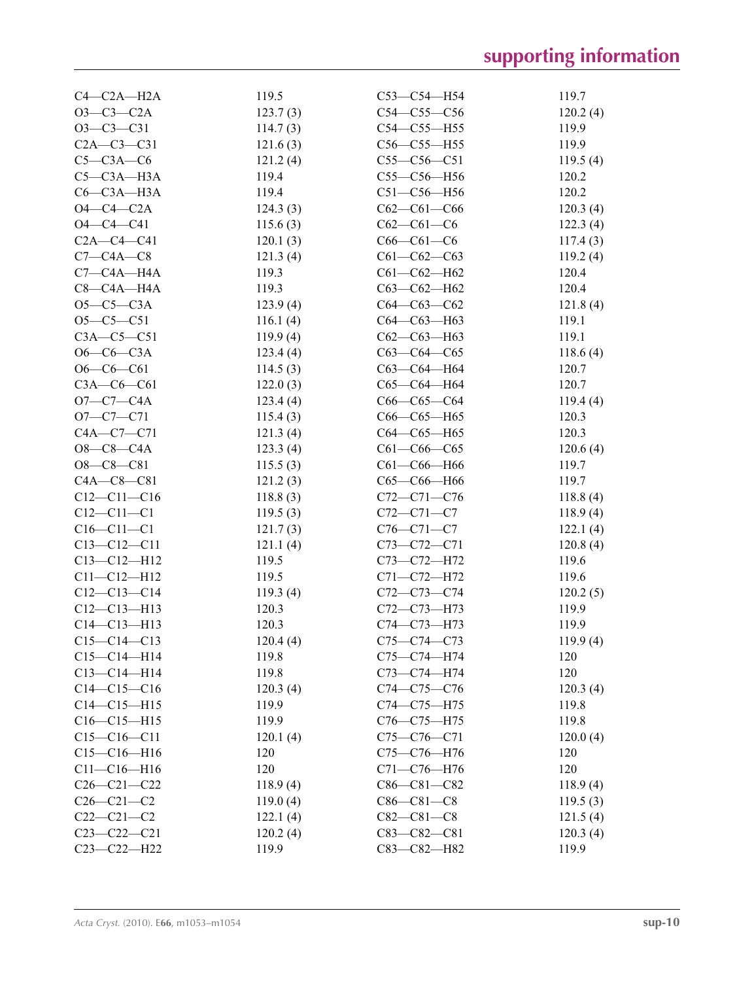| $C4-C2A-H2A$      | 119.5    | $C53-C54-H54$     | 119.7    |
|-------------------|----------|-------------------|----------|
| $O3-C3-C2A$       | 123.7(3) | $C54 - C55 - C56$ | 120.2(4) |
| $O3-C3-C31$       | 114.7(3) | $C54 - C55 - H55$ | 119.9    |
| $C2A - C3 - C31$  | 121.6(3) | $C56-C55-H55$     | 119.9    |
| $C5-C3A-C6$       | 121.2(4) | $C55-C56-C51$     | 119.5(4) |
| $C5-C3A-H3A$      | 119.4    | $C55-C56-H56$     | 120.2    |
| $C6-C3A-H3A$      | 119.4    | $C51 - C56 - H56$ | 120.2    |
| $O4-C4-C2A$       | 124.3(3) | $C62-C61-C66$     | 120.3(4) |
| $O4 - C4 - C41$   | 115.6(3) | $C62-C61-C6$      | 122.3(4) |
| $C2A - C4 - C41$  | 120.1(3) | $C66 - C61 - C6$  | 117.4(3) |
| $C7-C4A-C8$       | 121.3(4) | $C61 - C62 - C63$ | 119.2(4) |
| $C7-C4A-H4A$      | 119.3    | $C61 - C62 - H62$ | 120.4    |
| $C8-C4A-H4A$      | 119.3    | $C63-C62-H62$     | 120.4    |
| $O5-C5-C3A$       | 123.9(4) | $C64 - C63 - C62$ | 121.8(4) |
| $O5-C5-C51$       | 116.1(4) | C64-C63-H63       | 119.1    |
| $C3A - C5 - C51$  | 119.9(4) | $C62-C63-H63$     | 119.1    |
| $O6-C6-C3A$       | 123.4(4) | $C63-C64-C65$     | 118.6(4) |
| $O6-C6-C61$       | 114.5(3) | C63-C64-H64       | 120.7    |
| $C3A-C6-C61$      | 122.0(3) | $C65-C64 - H64$   | 120.7    |
| $O7 - C7 - C4A$   | 123.4(4) | $C66-C65-C64$     | 119.4(4) |
| $O7 - C7 - C71$   | 115.4(3) | $C66-C65-H65$     | 120.3    |
| $C4A - C7 - C71$  | 121.3(4) | C64-C65-H65       | 120.3    |
| $O8 - C8 - C4A$   | 123.3(4) | $C61 - C66 - C65$ | 120.6(4) |
| $O8-C8-C81$       | 115.5(3) | C61-C66-H66       | 119.7    |
| $CAA - C8 - C81$  | 121.2(3) | C65-C66-H66       | 119.7    |
| $C12 - C11 - C16$ |          | $C72 - C71 - C76$ |          |
| $C12 - C11 - C1$  | 118.8(3) | $C72 - C71 - C7$  | 118.8(4) |
| $C16 - C11 - C1$  | 119.5(3) | $C76 - C71 - C7$  | 118.9(4) |
|                   | 121.7(3) |                   | 122.1(4) |
| $C13 - C12 - C11$ | 121.1(4) | C73-C72-C71       | 120.8(4) |
| $C13 - C12 - H12$ | 119.5    | C73-C72-H72       | 119.6    |
| $C11 - C12 - H12$ | 119.5    | C71-C72-H72       | 119.6    |
| $C12-C13-C14$     | 119.3(4) | C72-C73-C74       | 120.2(5) |
| $C12-C13-H13$     | 120.3    | C72-C73-H73       | 119.9    |
| $C14 - C13 - H13$ | 120.3    | C74-C73-H73       | 119.9    |
| $C15-C14-C13$     | 120.4(4) | $C75 - C74 - C73$ | 119.9(4) |
| $C15-C14-H14$     | 119.8    | C75-C74-H74       | 120      |
| $C13 - C14 - H14$ | 119.8    | C73-C74-H74       | 120      |
| $C14-C15-C16$     | 120.3(4) | $C74 - C75 - C76$ | 120.3(4) |
| $C14 - C15 - H15$ | 119.9    | C74-C75-H75       | 119.8    |
| $C16-C15-H15$     | 119.9    | C76-C75-H75       | 119.8    |
| $C15-C16-C11$     | 120.1(4) | $C75 - C76 - C71$ | 120.0(4) |
| $C15-C16-H16$     | 120      | C75-C76-H76       | 120      |
| $C11 - C16 - H16$ | 120      | C71-C76-H76       | 120      |
| $C26 - C21 - C22$ | 118.9(4) | $C86 - C81 - C82$ | 118.9(4) |
| $C26 - C21 - C2$  | 119.0(4) | $C86 - C81 - C8$  | 119.5(3) |
| $C22-C21-C2$      | 122.1(4) | $C82 - C81 - C8$  | 121.5(4) |
| $C23-C22-C21$     | 120.2(4) | $C83 - C82 - C81$ | 120.3(4) |
| $C23-C22-H22$     | 119.9    | $C83 - C82 - H82$ | 119.9    |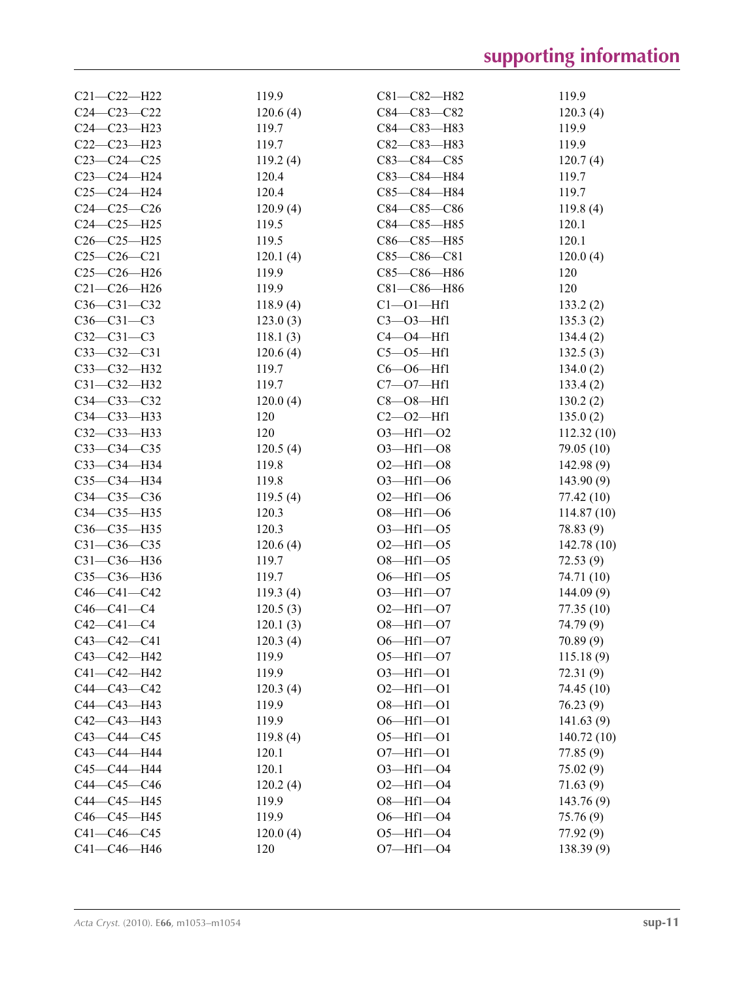| $C21 - C22 - H22$ | 119.9             | C81-C82-H82         | 119.9      |
|-------------------|-------------------|---------------------|------------|
| $C24 - C23 - C22$ | 120.6(4)          | C84-C83-C82         | 120.3(4)   |
| C24-C23-H23       | 119.7             | C84-C83-H83         | 119.9      |
| C22-C23-H23       | 119.7             | C82-C83-H83         | 119.9      |
| $C23-C24-C25$     | 119.2(4)          | $C83-C84-C85$       | 120.7(4)   |
| $C23-C24-H24$     | 120.4             | C83-C84-H84         | 119.7      |
| $C25-C24-H24$     | 120.4             | C85-C84-H84         | 119.7      |
| $C24-C25-C26$     | 120.9(4)          | $C84 - C85 - C86$   | 119.8(4)   |
| $C24-C25-H25$     | 119.5             | C84-C85-H85         | 120.1      |
| $C26-C25-H25$     | 119.5             | $C86 - C85 - H85$   | 120.1      |
| $C25-C26-C21$     | 120.1(4)          | $C85-C86-C81$       | 120.0(4)   |
| $C25-C26-H26$     | 119.9             | C85-C86-H86         | 120        |
| $C21 - C26 - H26$ | 119.9             | C81-C86-H86         | 120        |
| $C36 - C31 - C32$ | 118.9(4)          | $Cl$ - $O$ $I$ -Hfl | 133.2(2)   |
| $C36 - C31 - C3$  | 123.0(3)          | $C3 - 03 - Hf1$     | 135.3(2)   |
| $C32 - C31 - C3$  | 118.1(3)          | $C4 - O4 - Hf1$     | 134.4(2)   |
| $C33-C32-C31$     | 120.6(4)          | $C5 - O5 - Hf1$     | 132.5(3)   |
| C33-C32-H32       | 119.7             | $C6 - O6 - Hf1$     | 134.0(2)   |
| $C31 - C32 - H32$ | 119.7             | $C7 - 07 - Hf1$     | 133.4(2)   |
| C34-C33-C32       | 120.0(4)          | $C8 - O8 - Hf1$     | 130.2(2)   |
| C34-C33-H33       | 120               | $C2 - 02 - Hf1$     | 135.0(2)   |
| C32-C33-H33       | 120               | $O3 - Hf1 - O2$     | 112.32(10) |
| $C33-C34-C35$     | 120.5(4)          | $O3$ -Hfl- $O8$     | 79.05 (10) |
| C33-C34-H34       | 119.8             | $O2$ —Hf1— $O8$     | 142.98 (9) |
| C35-C34-H34       | 119.8             | $O3 - Hf1 - O6$     | 143.90(9)  |
| C34-C35-C36       | 119.5(4)          | $O2$ —Hf1—O6        | 77.42 (10) |
| C34-C35-H35       | 120.3             | $O8 - Hf1 - O6$     |            |
| C36-C35-H35       | 120.3             | $O3 - Hf1 - O5$     | 114.87(10) |
| $C31 - C36 - C35$ |                   | $O2$ —Hf1— $O5$     | 78.83 (9)  |
|                   | 120.6(4)<br>119.7 | $O8 - Hf1 - O5$     | 142.78(10) |
| $C31 - C36 - H36$ |                   |                     | 72.53(9)   |
| C35-C36-H36       | 119.7             | $O6 - Hf1 - O5$     | 74.71 (10) |
| $C46 - C41 - C42$ | 119.3(4)          | $O3 - Hf1 - O7$     | 144.09(9)  |
| $C46 - C41 - C4$  | 120.5(3)          | $O2$ —Hf1—O7        | 77.35 (10) |
| $C42 - C41 - C4$  | 120.1(3)          | $O8 - Hf1 - O7$     | 74.79 (9)  |
| $C43 - C42 - C41$ | 120.3(4)          | $O6 - Hf1 - O7$     | 70.89(9)   |
| $C43 - C42 - H42$ | 119.9             | $O5 - Hf1 - O7$     | 115.18(9)  |
| C41-C42-H42       | 119.9             | $O3 - Hf1 - O1$     | 72.31 (9)  |
| C44-C43-C42       | 120.3(4)          | $O2$ —Hf1—O1        | 74.45 (10) |
| C44-C43-H43       | 119.9             | $O8 - Hf1 - O1$     | 76.23 (9)  |
| $C42 - C43 - H43$ | 119.9             | $06 - Hf1 - 01$     | 141.63(9)  |
| $C43 - C44 - C45$ | 119.8(4)          | $O5 - Hf1 - O1$     | 140.72(10) |
| C43-C44-H44       | 120.1             | $O7 - Hf1 - O1$     | 77.85 (9)  |
| C45-C44-H44       | 120.1             | $O3 - Hf1 - O4$     | 75.02 (9)  |
| $C44-C45-C46$     | 120.2(4)          | $O2$ -Hf1- $O4$     | 71.63 (9)  |
| C44-C45-H45       | 119.9             | $O8 - Hf1 - O4$     | 143.76(9)  |
| C46-C45-H45       | 119.9             | $O6 - Hf1 - O4$     | 75.76 (9)  |
| $C41 - C46 - C45$ | 120.0(4)          | $O5 - Hf1 - O4$     | 77.92 (9)  |
| C41-C46-H46       | 120               | $O7 - Hf1 - O4$     | 138.39(9)  |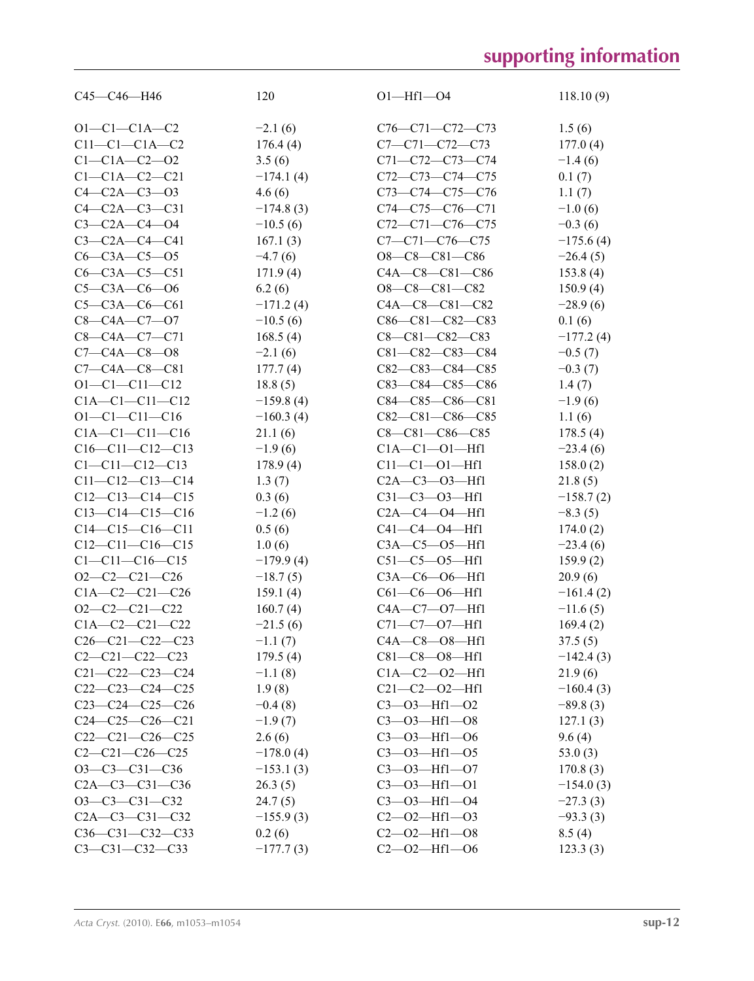| $C45-C46-H46$           | 120                    | $O1 - Hf1 - O4$         | 118.10(9)   |
|-------------------------|------------------------|-------------------------|-------------|
|                         |                        |                         |             |
| $O1 - C1 - C1A - C2$    | $-2.1(6)$              | C76-C71-C72-C73         | 1.5(6)      |
| $C11-C1-C1A-C2$         | 176.4(4)               | C7-C71-C72-C73          | 177.0(4)    |
| $C1 - C1A - C2 - 02$    | 3.5(6)                 | C71-C72-C73-C74         | $-1.4(6)$   |
| $C1 - C1A - C2 - C21$   | $-174.1(4)$            | C72-C73-C74-C75         | 0.1(7)      |
| $C4 - C2A - C3 - 03$    | 4.6(6)                 | C73-C74-C75-C76         | 1.1(7)      |
| $C4 - C2A - C3 - C31$   | $-174.8(3)$            | $C74-C75-C76-C71$       | $-1.0(6)$   |
| $C3 - C2A - C4 - O4$    | $-10.5(6)$             | $C72-C71-C76-C75$       | $-0.3(6)$   |
| $C3 - C2A - C4 - C41$   | 167.1(3)               | $C7 - C71 - C76 - C75$  | $-175.6(4)$ |
| $C6 - C3A - C5 - 05$    | $-4.7(6)$              | $O8-C8-C81-C86$         | $-26.4(5)$  |
| $C6-C3A-C5-C51$         | 171.9(4)               | C4A-C8-C81-C86          | 153.8(4)    |
| $C5 - C3A - C6 - O6$    | 6.2(6)                 | O8-C8-C81-C82           | 150.9(4)    |
| $C5 - C3A - C6 - C61$   | $-171.2(4)$            | $C4A - C8 - C81 - C82$  | $-28.9(6)$  |
| $C8 - C4A - C7 - O7$    | $-10.5(6)$             | $C86-C81-C82-C83$       | 0.1(6)      |
| $C8 - C4A - C7 - C71$   | 168.5(4)               | $C8 - C81 - C82 - C83$  | $-177.2(4)$ |
| $C7 - C4A - C8 - O8$    | $-2.1(6)$              | $C81 - C82 - C83 - C84$ | $-0.5(7)$   |
| $C7 - C4A - C8 - C81$   | 177.7(4)               | $C82-C83-C84-C85$       | $-0.3(7)$   |
| $O1 - C1 - C11 - C12$   | 18.8(5)                | $C83-C84-C85-C86$       | 1.4(7)      |
| $C1A - C1 - C11 - C12$  | $-159.8(4)$            | $C84-C85-C86-C81$       | $-1.9(6)$   |
| $O1 - C1 - C11 - C16$   | $-160.3(4)$            | C82-C81-C86-C85         | 1.1(6)      |
| $C1A - C1 - C11 - C16$  | 21.1(6)                | $C8 - C81 - C86 - C85$  | 178.5(4)    |
| $C16-C11-C12-C13$       | $-1.9(6)$              | $C1A - C1 - 01 - Hf1$   | $-23.4(6)$  |
| $C1 - C11 - C12 - C13$  | 178.9(4)               | $C11 - C1 - 01 - Hf1$   | 158.0(2)    |
| $C11-C12-C13-C14$       | 1.3(7)                 | $C2A - C3 - 03 - Hf1$   | 21.8(5)     |
| $C12-C13-C14-C15$       | 0.3(6)                 | $C31 - C3 - 03 - Hf1$   | $-158.7(2)$ |
| $C13-C14-C15-C16$       | $-1.2(6)$              | $C2A - C4 - 04 - Hf1$   | $-8.3(5)$   |
| $C14-C15-C16-C11$       | 0.5(6)                 | $C41 - C4 - O4 - Hf1$   | 174.0(2)    |
| $C12-C11-C16-C15$       | 1.0(6)                 | $C3A - C5 - 05 - Hf1$   | $-23.4(6)$  |
| $C1 - C11 - C16 - C15$  | $-179.9(4)$            | $C51-C5-05-Hf1$         | 159.9(2)    |
| $O2-C2-C21-C26$         | $-18.7(5)$             | $C3A-C6$ - $O6$ - $Hf1$ | 20.9(6)     |
| $C1A - C2 - C21 - C26$  | 159.1(4)               | $C61-C6$ - $O6$ - Hfl   | $-161.4(2)$ |
| $O2-C2-C21-C22$         | 160.7(4)               | C4A-C7-07-Hf1           | $-11.6(5)$  |
| $C1A - C2 - C21 - C22$  | $-21.5(6)$             | $C71 - C7 - O7 - Hf1$   | 169.4(2)    |
| $C26-C21-C22-C23$       | $-1.1(7)$              | $C4A - C8 - 08 - Hf1$   | 37.5(5)     |
| $C2-C21-C22-C23$        | 179.5(4)               | $C81 - C8 - O8 - Hf1$   | $-142.4(3)$ |
| $C21 - C22 - C23 - C24$ | $-1.1(8)$              | $C1A - C2 - 02 - Hf1$   | 21.9(6)     |
| $C22-C23-C24-C25$       | 1.9(8)                 | $C21 - C2 - 02 - Hf1$   | $-160.4(3)$ |
| $C23-C24-C25-C26$       |                        | $C3 - 03 - Hf1 - 02$    |             |
| $C24-C25-C26-C21$       | $-0.4(8)$<br>$-1.9(7)$ | $C3 - 03 - Hf1 - 08$    | $-89.8(3)$  |
| $C22-C21-C26-C25$       |                        | $C3 - 03 - Hf1 - 06$    | 127.1(3)    |
| $C2-C21-C26-C25$        | 2.6(6)                 | $C3 - 03 - Hf1 - 05$    | 9.6(4)      |
|                         | $-178.0(4)$            |                         | 53.0(3)     |
| $O3-C3-C31-C36$         | $-153.1(3)$            | $C3 - 03 - Hf1 - 07$    | 170.8(3)    |
| $C2A - C3 - C31 - C36$  | 26.3(5)                | $C3 - 03 - Hf1 - 01$    | $-154.0(3)$ |
| $O3-C3-C31-C32$         | 24.7(5)                | $C3 - 03 - Hf1 - 04$    | $-27.3(3)$  |
| $C2A - C3 - C31 - C32$  | $-155.9(3)$            | $C2 - 02 - Hf1 - 03$    | $-93.3(3)$  |
| C36-C31-C32-C33         | 0.2(6)                 | $C2 - 02 - Hf1 - 08$    | 8.5(4)      |
| $C3 - C31 - C32 - C33$  | $-177.7(3)$            | $C2 - 02 - Hf1 - 06$    | 123.3(3)    |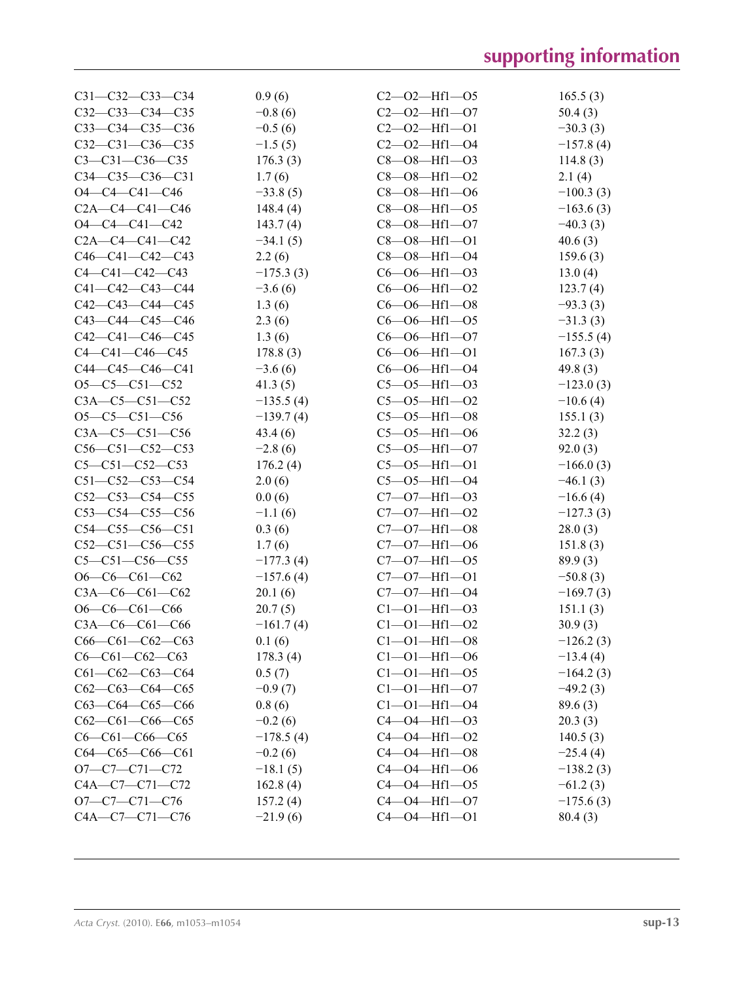| $C31 - C32 - C33 - C34$ | 0.9(6)      | $C2 - 02 - Hf1 - 05$              | 165.5(3)    |
|-------------------------|-------------|-----------------------------------|-------------|
| $C32-C33-C34-C35$       | $-0.8(6)$   | $C2 - 02 - Hf1 - 07$              | 50.4(3)     |
| $C33-C34-C35-C36$       | $-0.5(6)$   | $C2 - 02 - Hf1 - 01$              | $-30.3(3)$  |
| $C32-C31-C36-C35$       | $-1.5(5)$   | $C2 - 02 - Hf1 - 04$              | $-157.8(4)$ |
| $C3 - C31 - C36 - C35$  | 176.3(3)    | $C8 - O8 - Hf1 - O3$              | 114.8(3)    |
| $C34-C35-C36-C31$       | 1.7(6)      | $C8 - O8 - Hf1 - O2$              | 2.1(4)      |
| $O4 - C4 - C41 - C46$   | $-33.8(5)$  | $C8 - O8 - Hf1 - O6$              | $-100.3(3)$ |
| $C2A - C4 - C41 - C46$  | 148.4(4)    | $C8 - O8 - Hf1 - O5$              | $-163.6(3)$ |
| $O4 - C4 - C41 - C42$   | 143.7(4)    | $C8 - O8 - Hf1 - O7$              | $-40.3(3)$  |
| $C2A - C4 - C41 - C42$  | $-34.1(5)$  | $C8 - O8 - Hf1 - O1$              | 40.6(3)     |
| $C46-C41-C42-C43$       | 2.2(6)      | $C8 - O8 - Hf1 - O4$              | 159.6(3)    |
| $C4 - C41 - C42 - C43$  | $-175.3(3)$ | $C6 - O6 - Hf1 - O3$              | 13.0(4)     |
| C41-C42-C43-C44         | $-3.6(6)$   | $C6 - O6 - Hf1 - O2$              | 123.7(4)    |
| $C42-C43-C44-C45$       | 1.3(6)      | $C6 - O6 - Hf1 - O8$              | $-93.3(3)$  |
| $C43 - C44 - C45 - C46$ | 2.3(6)      | $C6 - O6 - Hf1 - O5$              | $-31.3(3)$  |
| $C42-C41-C46-C45$       | 1.3(6)      | $C6 - O6 - Hf1 - O7$              | $-155.5(4)$ |
| $C4 - C41 - C46 - C45$  | 178.8(3)    | $C6 - O6 - Hf1 - O1$              | 167.3(3)    |
| $C44-C45-C46-C41$       | $-3.6(6)$   | $C6 - O6 - Hf1 - O4$              | 49.8(3)     |
| $O5-C5-C51-C52$         | 41.3(5)     | $C5 - 05 - Hf1 - 03$              | $-123.0(3)$ |
| $C3A - C5 - C51 - C52$  | $-135.5(4)$ | $C5 - 05 - Hf1 - 02$              | $-10.6(4)$  |
| $O5-C5-C51-C56$         | $-139.7(4)$ | $C5 - 05 - Hf1 - 08$              | 155.1(3)    |
| $C3A - C5 - C51 - C56$  | 43.4(6)     | $C5 - 05 - Hf1 - 06$              | 32.2(3)     |
| $C56-C51-C52-C53$       | $-2.8(6)$   | $C5 - O5 - Hf1 - O7$              | 92.0(3)     |
| $C5 - C51 - C52 - C53$  | 176.2(4)    | $C5 - 05 - Hf1 - 01$              | $-166.0(3)$ |
| $C51-C52-C53-C54$       | 2.0(6)      | $C5 - 05 - Hf1 - 04$              | $-46.1(3)$  |
| $C52-C53-C54-C55$       | 0.0(6)      | $C7 - 07 - Hf1 - 03$              | $-16.6(4)$  |
| $C53-C54-C55-C56$       | $-1.1(6)$   | $C7 - 07 - Hf1 - 02$              | $-127.3(3)$ |
| $C54-C55-C56-C51$       | 0.3(6)      | $C7 - 07 - Hf1 - 08$              | 28.0(3)     |
| $C52-C51-C56-C55$       | 1.7(6)      | $C7 - 07 - Hf1 - 06$              | 151.8(3)    |
| $C5 - C51 - C56 - C55$  | $-177.3(4)$ | $C7 - 07 - Hf1 - 05$              | 89.9(3)     |
| $O6-C6-C61-C62$         | $-157.6(4)$ | $C7 - 07 - Hf1 - 01$              | $-50.8(3)$  |
| $C3A - C6 - C61 - C62$  | 20.1(6)     | $C7 - 07 - Hf1 - 04$              | $-169.7(3)$ |
| $O6-C6-C61-C66$         | 20.7(5)     | $Cl$ - $O$ $I$ - $Hf$ $I$ - $O$ 3 | 151.1(3)    |
| $C3A-C6-C61-C66$        | $-161.7(4)$ | $C1 - 01 - Hf1 - 02$              | 30.9(3)     |
| $C66-C61-C62-C63$       | 0.1(6)      | $C1 - 01 - Hf1 - 08$              | $-126.2(3)$ |
| $C6-C61-C62-C63$        | 178.3(4)    | $C1 - 01 - Hf1 - 06$              | $-13.4(4)$  |
| $C61-C62-C63-C64$       | 0.5(7)      | $Cl - O1 - Hf1 - O5$              | $-164.2(3)$ |
| $C62-C63-C64-C65$       | $-0.9(7)$   | $Cl - O1 - Hf1 - O7$              | $-49.2(3)$  |
| $C63-C64-C65-C66$       | 0.8(6)      | $Cl$ --01-Hfl--04                 | 89.6(3)     |
| $C62-C61-C66-C65$       | $-0.2(6)$   | $C4 - O4 - Hf1 - O3$              | 20.3(3)     |
| $C6-C61-C66-C65$        | $-178.5(4)$ | $C4 - O4 - Hf1 - O2$              | 140.5(3)    |
| $C64-C65-C66-C61$       | $-0.2(6)$   | $C4 - O4 - Hf1 - O8$              | $-25.4(4)$  |
| $O7-C7-C71-C72$         | $-18.1(5)$  | $C4 - O4 - Hf1 - O6$              | $-138.2(3)$ |
| C4A-C7-C71-C72          | 162.8(4)    | $C4 - 04 - Hf1 - 05$              | $-61.2(3)$  |
| $O7-C7-C71-C76$         | 157.2(4)    | $C4 - O4 - Hf1 - O7$              | $-175.6(3)$ |
| C4A-C7-C71-C76          | $-21.9(6)$  | $C4 - 04 - Hf1 - 01$              | 80.4(3)     |
|                         |             |                                   |             |